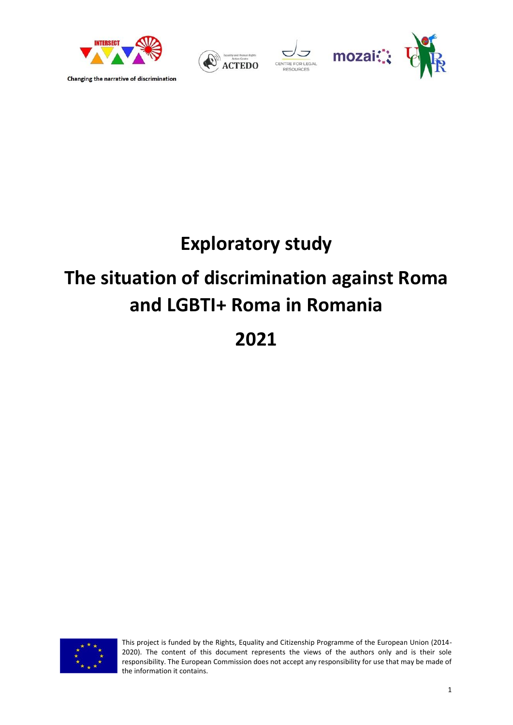







# **Exploratory study**

# **The situation of discrimination against Roma and LGBTI+ Roma in Romania**

**2021**



This project is funded by the Rights, Equality and Citizenship Programme of the European Union (2014- 2020). The content of this document represents the views of the authors only and is their sole responsibility. The European Commission does not accept any responsibility for use that may be made of the information it contains.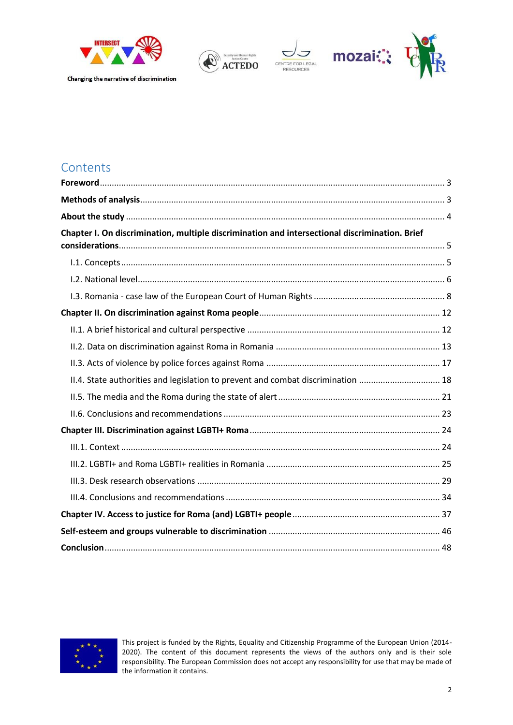







### **Contents**

| Chapter I. On discrimination, multiple discrimination and intersectional discrimination. Brief |  |
|------------------------------------------------------------------------------------------------|--|
|                                                                                                |  |
|                                                                                                |  |
|                                                                                                |  |
|                                                                                                |  |
|                                                                                                |  |
|                                                                                                |  |
|                                                                                                |  |
| II.4. State authorities and legislation to prevent and combat discrimination  18               |  |
|                                                                                                |  |
|                                                                                                |  |
|                                                                                                |  |
|                                                                                                |  |
|                                                                                                |  |
|                                                                                                |  |
|                                                                                                |  |
|                                                                                                |  |
|                                                                                                |  |
|                                                                                                |  |



This project is funded by the Rights, Equality and Citizenship Programme of the European Union (2014- 2020). The content of this document represents the views of the authors only and is their sole responsibility. The European Commission does not accept any responsibility for use that may be made of the information it contains.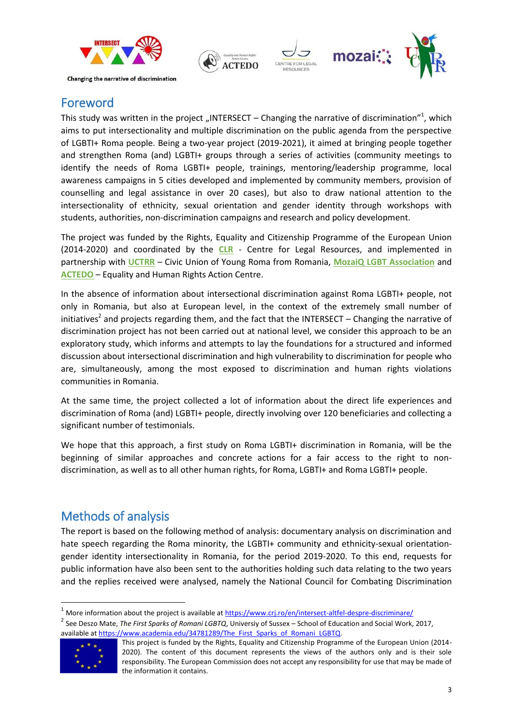



### <span id="page-2-0"></span>Foreword

This study was written in the project "INTERSECT – Changing the narrative of discrimination"<sup>1</sup>, which aims to put intersectionality and multiple discrimination on the public agenda from the perspective of LGBTI+ Roma people. Being a two-year project (2019-2021), it aimed at bringing people together and strengthen Roma (and) LGBTI+ groups through a series of activities (community meetings to identify the needs of Roma LGBTI+ people, trainings, mentoring/leadership programme, local awareness campaigns in 5 cities developed and implemented by community members, provision of counselling and legal assistance in over 20 cases), but also to draw national attention to the intersectionality of ethnicity, sexual orientation and gender identity through workshops with students, authorities, non-discrimination campaigns and research and policy development.

The project was funded by the Rights, Equality and Citizenship Programme of the European Union (2014-2020) and coordinated by the **CLR** - Centre for Legal Resources, and implemented in partnership with **UCTRR** – Civic Union of Young Roma from Romania, **MozaiQ LGBT Association** and **ACTEDO** – Equality and Human Rights Action Centre.

In the absence of information about intersectional discrimination against Roma LGBTI+ people, not only in Romania, but also at European level, in the context of the extremely small number of initiatives<sup>2</sup> and projects regarding them, and the fact that the INTERSECT – Changing the narrative of discrimination project has not been carried out at national level, we consider this approach to be an exploratory study, which informs and attempts to lay the foundations for a structured and informed discussion about intersectional discrimination and high vulnerability to discrimination for people who are, simultaneously, among the most exposed to discrimination and human rights violations communities in Romania.

At the same time, the project collected a lot of information about the direct life experiences and discrimination of Roma (and) LGBTI+ people, directly involving over 120 beneficiaries and collecting a significant number of testimonials.

We hope that this approach, a first study on Roma LGBTI+ discrimination in Romania, will be the beginning of similar approaches and concrete actions for a fair access to the right to nondiscrimination, as well as to all other human rights, for Roma, LGBTI+ and Roma LGBTI+ people.

### <span id="page-2-1"></span>Methods of analysis

The report is based on the following method of analysis: documentary analysis on discrimination and hate speech regarding the Roma minority, the LGBTI+ community and ethnicity-sexual orientationgender identity intersectionality in Romania, for the period 2019-2020. To this end, requests for public information have also been sent to the authorities holding such data relating to the two years and the replies received were analysed, namely the National Council for Combating Discrimination

<sup>2</sup> See Deszo Mate, *The First Sparks of Romani LGBTQ*, Universiy of Sussex – School of Education and Social Work, 2017, available at https://www.academia.edu/34781289/The\_First\_Sparks\_of\_Romani\_LGBTQ.



<sup>&</sup>lt;sup>1</sup> More information about the project is available at <https://www.crj.ro/en/intersect-altfel-despre-discriminare/>

This project is funded by the Rights, Equality and Citizenship Programme of the European Union (2014- 2020). The content of this document represents the views of the authors only and is their sole responsibility. The European Commission does not accept any responsibility for use that may be made of the information it contains.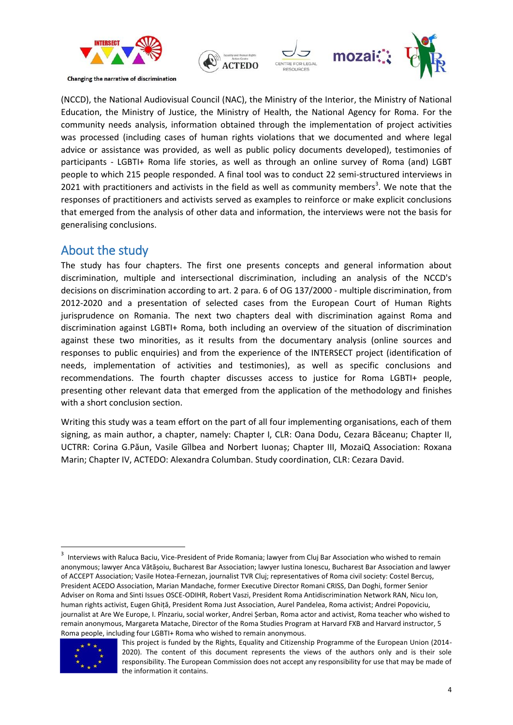



(NCCD), the National Audiovisual Council (NAC), the Ministry of the Interior, the Ministry of National Education, the Ministry of Justice, the Ministry of Health, the National Agency for Roma. For the community needs analysis, information obtained through the implementation of project activities was processed (including cases of human rights violations that we documented and where legal advice or assistance was provided, as well as public policy documents developed), testimonies of participants - LGBTI+ Roma life stories, as well as through an online survey of Roma (and) LGBT people to which 215 people responded. A final tool was to conduct 22 semi-structured interviews in 2021 with practitioners and activists in the field as well as community members<sup>3</sup>. We note that the responses of practitioners and activists served as examples to reinforce or make explicit conclusions that emerged from the analysis of other data and information, the interviews were not the basis for generalising conclusions.

### <span id="page-3-0"></span>About the study

The study has four chapters. The first one presents concepts and general information about discrimination, multiple and intersectional discrimination, including an analysis of the NCCD's decisions on discrimination according to art. 2 para. 6 of OG 137/2000 - multiple discrimination, from 2012-2020 and a presentation of selected cases from the European Court of Human Rights jurisprudence on Romania. The next two chapters deal with discrimination against Roma and discrimination against LGBTI+ Roma, both including an overview of the situation of discrimination against these two minorities, as it results from the documentary analysis (online sources and responses to public enquiries) and from the experience of the INTERSECT project (identification of needs, implementation of activities and testimonies), as well as specific conclusions and recommendations. The fourth chapter discusses access to justice for Roma LGBTI+ people, presenting other relevant data that emerged from the application of the methodology and finishes with a short conclusion section.

Writing this study was a team effort on the part of all four implementing organisations, each of them signing, as main author, a chapter, namely: Chapter I, CLR: Oana Dodu, Cezara Băceanu; Chapter II, UCTRR: Corina G.Păun, Vasile Gîlbea and Norbert Iuonaș; Chapter III, MozaiQ Association: Roxana Marin; Chapter IV, ACTEDO: Alexandra Columban. Study coordination, CLR: Cezara David.

 $\frac{1}{3}$  Interviews with Raluca Baciu, Vice-President of Pride Romania; lawyer from Cluj Bar Association who wished to remain anonymous; lawyer Anca Vătășoiu, Bucharest Bar Association; lawyer Iustina Ionescu, Bucharest Bar Association and lawyer of ACCEPT Association; Vasile Hotea-Fernezan, journalist TVR Cluj; representatives of Roma civil society: Costel Bercuș, President ACEDO Association, Marian Mandache, former Executive Director Romani CRISS, Dan Doghi, former Senior Adviser on Roma and Sinti Issues OSCE-ODIHR, Robert Vaszi, President Roma Antidiscrimination Network RAN, Nicu Ion, human rights activist, Eugen Ghiță, President Roma Just Association, Aurel Pandelea, Roma activist; Andrei Popoviciu, journalist at Are We Europe, I. Pînzariu, social worker, Andrei Șerban, Roma actor and activist, Roma teacher who wished to remain anonymous, Margareta Matache, Director of the Roma Studies Program at Harvard FXB and Harvard instructor, 5 Roma people, including four LGBTI+ Roma who wished to remain anonymous.



This project is funded by the Rights, Equality and Citizenship Programme of the European Union (2014- 2020). The content of this document represents the views of the authors only and is their sole responsibility. The European Commission does not accept any responsibility for use that may be made of the information it contains.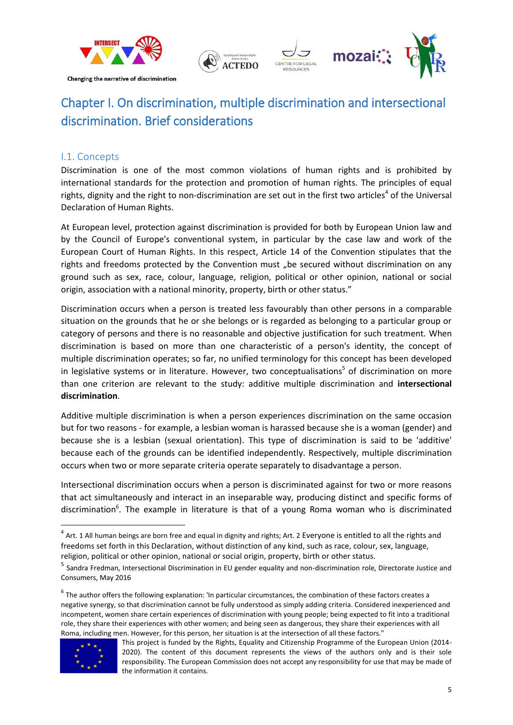



# <span id="page-4-0"></span>Chapter I. On discrimination, multiple discrimination and intersectional discrimination. Brief considerations

### <span id="page-4-1"></span>I.1. Concepts

Discrimination is one of the most common violations of human rights and is prohibited by international standards for the protection and promotion of human rights. The principles of equal rights, dignity and the right to non-discrimination are set out in the first two articles<sup>4</sup> of the Universal Declaration of Human Rights.

At European level, protection against discrimination is provided for both by European Union law and by the Council of Europe's conventional system, in particular by the case law and work of the European Court of Human Rights. In this respect, Article 14 of the Convention stipulates that the rights and freedoms protected by the Convention must "be secured without discrimination on any ground such as sex, race, colour, language, religion, political or other opinion, national or social origin, association with a national minority, property, birth or other status."

Discrimination occurs when a person is treated less favourably than other persons in a comparable situation on the grounds that he or she belongs or is regarded as belonging to a particular group or category of persons and there is no reasonable and objective justification for such treatment. When discrimination is based on more than one characteristic of a person's identity, the concept of multiple discrimination operates; so far, no unified terminology for this concept has been developed in legislative systems or in literature. However, two conceptualisations<sup>5</sup> of discrimination on more than one criterion are relevant to the study: additive multiple discrimination and **intersectional discrimination**.

Additive multiple discrimination is when a person experiences discrimination on the same occasion but for two reasons - for example, a lesbian woman is harassed because she is a woman (gender) and because she is a lesbian (sexual orientation). This type of discrimination is said to be 'additive' because each of the grounds can be identified independently. Respectively, multiple discrimination occurs when two or more separate criteria operate separately to disadvantage a person.

Intersectional discrimination occurs when a person is discriminated against for two or more reasons that act simultaneously and interact in an inseparable way, producing distinct and specific forms of discrimination<sup>6</sup>. The example in literature is that of a young Roma woman who is discriminated

 $^6$  The author offers the following explanation: 'In particular circumstances, the combination of these factors creates a negative synergy, so that discrimination cannot be fully understood as simply adding criteria. Considered inexperienced and incompetent, women share certain experiences of discrimination with young people; being expected to fit into a traditional role, they share their experiences with other women; and being seen as dangerous, they share their experiences with all Roma, including men. However, for this person, her situation is at the intersection of all these factors."



 $^4$  Art. 1 All human beings are born free and equal in dignity and rights; Art. 2 Everyone is entitled to all the rights and freedoms set forth in this Declaration, without distinction of any kind, such as race, colour, sex, language, religion, political or other opinion, national or social origin, property, birth or other status.

<sup>&</sup>lt;sup>5</sup> Sandra Fredman, Intersectional Discrimination in EU gender equality and non-discrimination role, Directorate Justice and Consumers, May 2016

This project is funded by the Rights, Equality and Citizenship Programme of the European Union (2014- 2020). The content of this document represents the views of the authors only and is their sole responsibility. The European Commission does not accept any responsibility for use that may be made of the information it contains.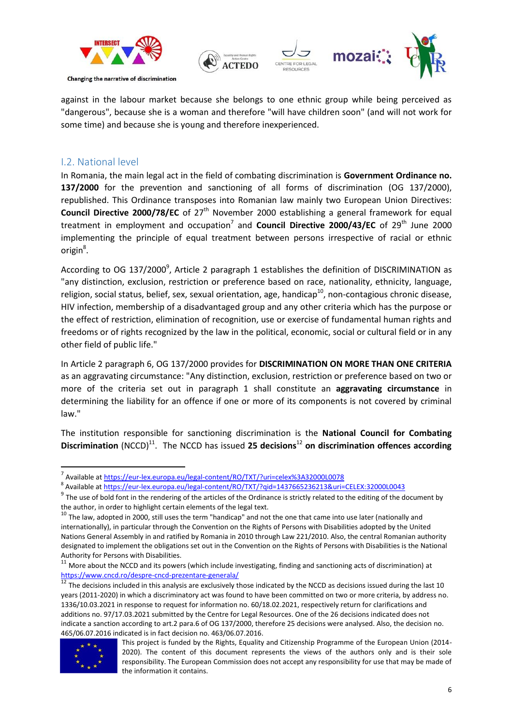



against in the labour market because she belongs to one ethnic group while being perceived as "dangerous", because she is a woman and therefore "will have children soon" (and will not work for some time) and because she is young and therefore inexperienced.

### <span id="page-5-0"></span>I.2. National level

In Romania, the main legal act in the field of combating discrimination is **Government Ordinance no. 137/2000** for the prevention and sanctioning of all forms of discrimination (OG 137/2000), republished. This Ordinance transposes into Romanian law mainly two European Union Directives: **Council Directive 2000/78/EC** of 27<sup>th</sup> November 2000 establishing a general framework for equal treatment in employment and occupation<sup>7</sup> and **Council Directive 2000/43/EC** of 29<sup>th</sup> June 2000 implementing the principle of equal treatment between persons irrespective of racial or ethnic origin<sup>8</sup>.

According to OG 137/2000 $^9$ , Article 2 paragraph 1 establishes the definition of DISCRIMINATION as "any distinction, exclusion, restriction or preference based on race, nationality, ethnicity, language, religion, social status, belief, sex, sexual orientation, age, handicap $^{10}$ , non-contagious chronic disease, HIV infection, membership of a disadvantaged group and any other criteria which has the purpose or the effect of restriction, elimination of recognition, use or exercise of fundamental human rights and freedoms or of rights recognized by the law in the political, economic, social or cultural field or in any other field of public life."

In Article 2 paragraph 6, OG 137/2000 provides for **DISCRIMINATION ON MORE THAN ONE CRITERIA** as an aggravating circumstance: "Any distinction, exclusion, restriction or preference based on two or more of the criteria set out in paragraph 1 shall constitute an **aggravating circumstance** in determining the liability for an offence if one or more of its components is not covered by criminal law."

The institution responsible for sanctioning discrimination is the **National Council for Combating Discrimination** (NCCD)<sup>11</sup>. The NCCD has issued 25 decisions<sup>12</sup> on discrimination offences according

<sup>12</sup> The decisions included in this analysis are exclusively those indicated by the NCCD as decisions issued during the last 10 years (2011-2020) in which a discriminatory act was found to have been committed on two or more criteria, by address no. 1336/10.03.2021 in response to request for information no. 60/18.02.2021, respectively return for clarifications and additions no. 97/17.03.2021 submitted by the Centre for Legal Resources. One of the 26 decisions indicated does not indicate a sanction according to art.2 para.6 of OG 137/2000, therefore 25 decisions were analysed. Also, the decision no. 465/06.07.2016 indicated is in fact decision no. 463/06.07.2016.



This project is funded by the Rights, Equality and Citizenship Programme of the European Union (2014- 2020). The content of this document represents the views of the authors only and is their sole responsibility. The European Commission does not accept any responsibility for use that may be made of the information it contains.

 $\overline{a}$ <sup>7</sup> Available at<https://eur-lex.europa.eu/legal-content/RO/TXT/?uri=celex%3A32000L0078>

<sup>&</sup>lt;sup>8</sup> Available at <u>https://eur-lex.europa.eu/legal-content/RO/TXT/?qid=1437665236213&uri=CELEX:32000L0043</u>

 $9$  The use of bold font in the rendering of the articles of the Ordinance is strictly related to the editing of the document by the author, in order to highlight certain elements of the legal text.

 $10$  The law, adopted in 2000, still uses the term "handicap" and not the one that came into use later (nationally and internationally), in particular through the Convention on the Rights of Persons with Disabilities adopted by the United Nations General Assembly in and ratified by Romania in 2010 through Law 221/2010. Also, the central Romanian authority designated to implement the obligations set out in the Convention on the Rights of Persons with Disabilities is the National Authority for Persons with Disabilities.

 $11$  More about the NCCD and its powers (which include investigating, finding and sanctioning acts of discrimination) at <https://www.cncd.ro/despre-cncd-prezentare-generala/>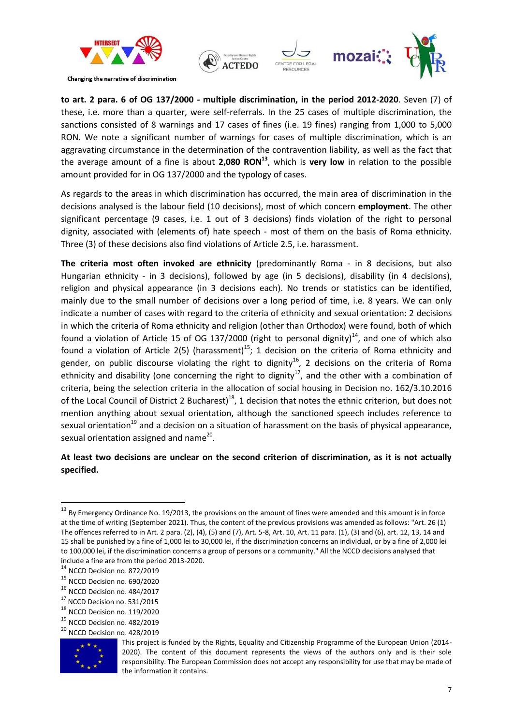



**to art. 2 para. 6 of OG 137/2000 - multiple discrimination, in the period 2012-2020**. Seven (7) of these, i.e. more than a quarter, were self-referrals. In the 25 cases of multiple discrimination, the sanctions consisted of 8 warnings and 17 cases of fines (i.e. 19 fines) ranging from 1,000 to 5,000 RON. We note a significant number of warnings for cases of multiple discrimination, which is an aggravating circumstance in the determination of the contravention liability, as well as the fact that the average amount of a fine is about **2,080 RON<sup>13</sup>**, which is **very low** in relation to the possible amount provided for in OG 137/2000 and the typology of cases.

As regards to the areas in which discrimination has occurred, the main area of discrimination in the decisions analysed is the labour field (10 decisions), most of which concern **employment**. The other significant percentage (9 cases, i.e. 1 out of 3 decisions) finds violation of the right to personal dignity, associated with (elements of) hate speech - most of them on the basis of Roma ethnicity. Three (3) of these decisions also find violations of Article 2.5, i.e. harassment.

**The criteria most often invoked are ethnicity** (predominantly Roma - in 8 decisions, but also Hungarian ethnicity - in 3 decisions), followed by age (in 5 decisions), disability (in 4 decisions), religion and physical appearance (in 3 decisions each). No trends or statistics can be identified, mainly due to the small number of decisions over a long period of time, i.e. 8 years. We can only indicate a number of cases with regard to the criteria of ethnicity and sexual orientation: 2 decisions in which the criteria of Roma ethnicity and religion (other than Orthodox) were found, both of which found a violation of Article 15 of OG 137/2000 (right to personal dignity)<sup>14</sup>, and one of which also found a violation of Article 2(5) (harassment)<sup>15</sup>; 1 decision on the criteria of Roma ethnicity and gender, on public discourse violating the right to dignity<sup>16</sup>, 2 decisions on the criteria of Roma ethnicity and disability (one concerning the right to dignity<sup>17</sup>, and the other with a combination of criteria, being the selection criteria in the allocation of social housing in Decision no. 162/3.10.2016 of the Local Council of District 2 Bucharest)<sup>18</sup>, 1 decision that notes the ethnic criterion, but does not mention anything about sexual orientation, although the sanctioned speech includes reference to sexual orientation<sup>19</sup> and a decision on a situation of harassment on the basis of physical appearance, sexual orientation assigned and name<sup>20</sup>.

### **At least two decisions are unclear on the second criterion of discrimination, as it is not actually specified.**

- <sup>19</sup> NCCD Decision no. 482/2019
- <sup>20</sup> NCCD Decision no. 428/2019



1

 $13$  By Emergency Ordinance No. 19/2013, the provisions on the amount of fines were amended and this amount is in force at the time of writing (September 2021). Thus, the content of the previous provisions was amended as follows: "Art. 26 (1) The offences referred to in Art. 2 para. (2), (4), (5) and (7), Art. 5-8, Art. 10, Art. 11 para. (1), (3) and (6), art. 12, 13, 14 and 15 shall be punished by a fine of 1,000 lei to 30,000 lei, if the discrimination concerns an individual, or by a fine of 2,000 lei to 100,000 lei, if the discrimination concerns a group of persons or a community." All the NCCD decisions analysed that include a fine are from the period 2013-2020.

<sup>14</sup> NCCD Decision no. 872/2019

<sup>15</sup> NCCD Decision no. 690/2020

<sup>&</sup>lt;sup>16</sup> NCCD Decision no. 484/2017

<sup>&</sup>lt;sup>17</sup> NCCD Decision no. 531/2015

<sup>18</sup> NCCD Decision no. 119/2020

This project is funded by the Rights, Equality and Citizenship Programme of the European Union (2014- 2020). The content of this document represents the views of the authors only and is their sole responsibility. The European Commission does not accept any responsibility for use that may be made of the information it contains.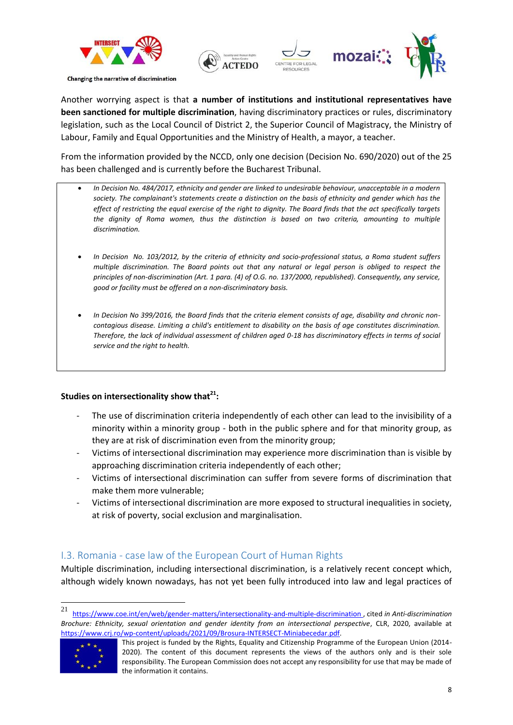



Another worrying aspect is that **a number of institutions and institutional representatives have been sanctioned for multiple discrimination**, having discriminatory practices or rules, discriminatory legislation, such as the Local Council of District 2, the Superior Council of Magistracy, the Ministry of Labour, Family and Equal Opportunities and the Ministry of Health, a mayor, a teacher.

From the information provided by the NCCD, only one decision (Decision No. 690/2020) out of the 25 has been challenged and is currently before the Bucharest Tribunal.

- *In Decision No. 484/2017, ethnicity and gender are linked to undesirable behaviour, unacceptable in a modern society. The complainant's statements create a distinction on the basis of ethnicity and gender which has the effect of restricting the equal exercise of the right to dignity. The Board finds that the act specifically targets the dignity of Roma women, thus the distinction is based on two criteria, amounting to multiple discrimination.*
- *In Decision No. 103/2012, by the criteria of ethnicity and socio-professional status, a Roma student suffers multiple discrimination. The Board points out that any natural or legal person is obliged to respect the principles of non-discrimination (Art. 1 para. (4) of O.G. no. 137/2000, republished). Consequently, any service, good or facility must be offered on a non-discriminatory basis.*
- *In Decision No 399/2016, the Board finds that the criteria element consists of age, disability and chronic noncontagious disease. Limiting a child's entitlement to disability on the basis of age constitutes discrimination. Therefore, the lack of individual assessment of children aged 0-18 has discriminatory effects in terms of social service and the right to health.*

### **Studies on intersectionality show that<sup>21</sup>:**

- The use of discrimination criteria independently of each other can lead to the invisibility of a minority within a minority group - both in the public sphere and for that minority group, as they are at risk of discrimination even from the minority group;
- Victims of intersectional discrimination may experience more discrimination than is visible by approaching discrimination criteria independently of each other;
- Victims of intersectional discrimination can suffer from severe forms of discrimination that make them more vulnerable;
- Victims of intersectional discrimination are more exposed to structural inequalities in society, at risk of poverty, social exclusion and marginalisation.

### <span id="page-7-0"></span>I.3. Romania - case law of the European Court of Human Rights

Multiple discrimination, including intersectional discrimination, is a relatively recent concept which, although widely known nowadays, has not yet been fully introduced into law and legal practices of

<sup>21</sup> <sup>21</sup> <https://www.coe.int/en/web/gender-matters/intersectionality-and-multiple-discrimination> , cited *in Anti-discrimination Brochure: Ethnicity, sexual orientation and gender identity from an intersectional perspective*, CLR, 2020, available at [https://www.crj.ro/wp-content/uploads/2021/09/Brosura-INTERSECT-Miniabecedar.pdf.](https://www.crj.ro/wp-content/uploads/2021/09/Brosura-INTERSECT-Miniabecedar.pdf) 



This project is funded by the Rights, Equality and Citizenship Programme of the European Union (2014- 2020). The content of this document represents the views of the authors only and is their sole responsibility. The European Commission does not accept any responsibility for use that may be made of the information it contains.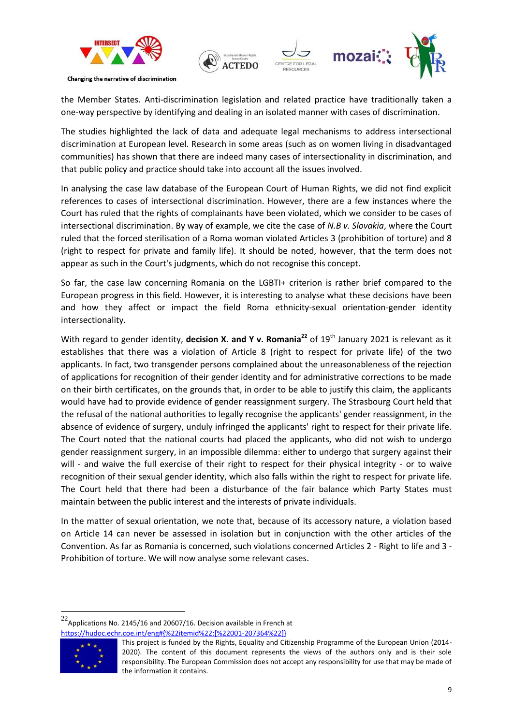



the Member States. Anti-discrimination legislation and related practice have traditionally taken a one-way perspective by identifying and dealing in an isolated manner with cases of discrimination.

The studies highlighted the lack of data and adequate legal mechanisms to address intersectional discrimination at European level. Research in some areas (such as on women living in disadvantaged communities) has shown that there are indeed many cases of intersectionality in discrimination, and that public policy and practice should take into account all the issues involved.

In analysing the case law database of the European Court of Human Rights, we did not find explicit references to cases of intersectional discrimination. However, there are a few instances where the Court has ruled that the rights of complainants have been violated, which we consider to be cases of intersectional discrimination. By way of example, we cite the case of *N.B v. Slovakia*, where the Court ruled that the forced sterilisation of a Roma woman violated Articles 3 (prohibition of torture) and 8 (right to respect for private and family life). It should be noted, however, that the term does not appear as such in the Court's judgments, which do not recognise this concept.

So far, the case law concerning Romania on the LGBTI+ criterion is rather brief compared to the European progress in this field. However, it is interesting to analyse what these decisions have been and how they affect or impact the field Roma ethnicity-sexual orientation-gender identity intersectionality.

With regard to gender identity, **decision X. and Y v. Romania**<sup>22</sup> of 19<sup>th</sup> January 2021 is relevant as it establishes that there was a violation of Article 8 (right to respect for private life) of the two applicants. In fact, two transgender persons complained about the unreasonableness of the rejection of applications for recognition of their gender identity and for administrative corrections to be made on their birth certificates, on the grounds that, in order to be able to justify this claim, the applicants would have had to provide evidence of gender reassignment surgery. The Strasbourg Court held that the refusal of the national authorities to legally recognise the applicants' gender reassignment, in the absence of evidence of surgery, unduly infringed the applicants' right to respect for their private life. The Court noted that the national courts had placed the applicants, who did not wish to undergo gender reassignment surgery, in an impossible dilemma: either to undergo that surgery against their will - and waive the full exercise of their right to respect for their physical integrity - or to waive recognition of their sexual gender identity, which also falls within the right to respect for private life. The Court held that there had been a disturbance of the fair balance which Party States must maintain between the public interest and the interests of private individuals.

In the matter of sexual orientation, we note that, because of its accessory nature, a violation based on Article 14 can never be assessed in isolation but in conjunction with the other articles of the Convention. As far as Romania is concerned, such violations concerned Articles 2 - Right to life and 3 - Prohibition of torture. We will now analyse some relevant cases.

 $22$ Applications No. 2145/16 and 20607/16. Decision available in French at [https://hudoc.echr.coe.int/eng#{%22itemid%22:\[%22001-207364%22\]}](https://hudoc.echr.coe.int/eng#{%22itemid%22:[%22001-207364%22]})



This project is funded by the Rights, Equality and Citizenship Programme of the European Union (2014- 2020). The content of this document represents the views of the authors only and is their sole responsibility. The European Commission does not accept any responsibility for use that may be made of the information it contains.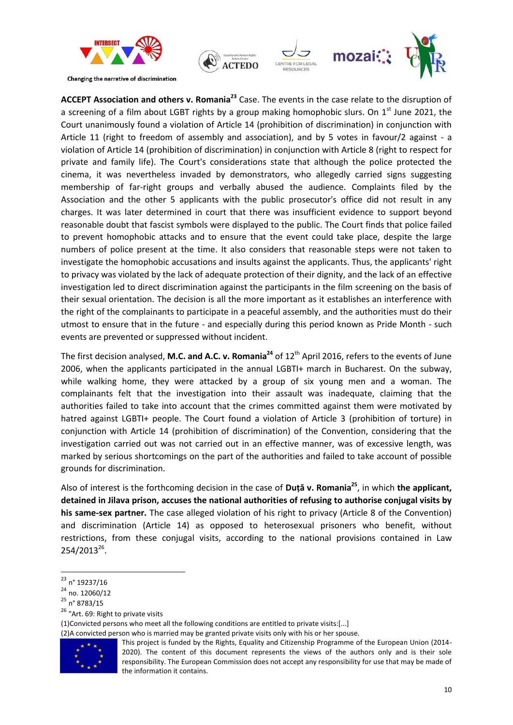



**ACCEPT Association and others v. Romania<sup>23</sup>** Case. The events in the case relate to the disruption of a screening of a film about LGBT rights by a group making homophobic slurs. On  $1<sup>st</sup>$  June 2021, the Court unanimously found a violation of Article 14 (prohibition of discrimination) in conjunction with Article 11 (right to freedom of assembly and association), and by 5 votes in favour/2 against - a violation of Article 14 (prohibition of discrimination) in conjunction with Article 8 (right to respect for private and family life). The Court's considerations state that although the police protected the cinema, it was nevertheless invaded by demonstrators, who allegedly carried signs suggesting membership of far-right groups and verbally abused the audience. Complaints filed by the Association and the other 5 applicants with the public prosecutor's office did not result in any charges. It was later determined in court that there was insufficient evidence to support beyond reasonable doubt that fascist symbols were displayed to the public. The Court finds that police failed to prevent homophobic attacks and to ensure that the event could take place, despite the large numbers of police present at the time. It also considers that reasonable steps were not taken to investigate the homophobic accusations and insults against the applicants. Thus, the applicants' right to privacy was violated by the lack of adequate protection of their dignity, and the lack of an effective investigation led to direct discrimination against the participants in the film screening on the basis of their sexual orientation. The decision is all the more important as it establishes an interference with the right of the complainants to participate in a peaceful assembly, and the authorities must do their utmost to ensure that in the future - and especially during this period known as Pride Month - such events are prevented or suppressed without incident.

The first decision analysed, **M.C. and A.C. v. Romania<sup>24</sup>** of 12th April 2016, refers to the events of June 2006, when the applicants participated in the annual LGBTI+ march in Bucharest. On the subway, while walking home, they were attacked by a group of six young men and a woman. The complainants felt that the investigation into their assault was inadequate, claiming that the authorities failed to take into account that the crimes committed against them were motivated by hatred against LGBTI+ people. The Court found a violation of Article 3 (prohibition of torture) in conjunction with Article 14 (prohibition of discrimination) of the Convention, considering that the investigation carried out was not carried out in an effective manner, was of excessive length, was marked by serious shortcomings on the part of the authorities and failed to take account of possible grounds for discrimination.

Also of interest is the forthcoming decision in the case of **Duță v. Romania<sup>25</sup>**, in which **the applicant, detained in Jilava prison, accuses the national authorities of refusing to authorise conjugal visits by his same-sex partner.** The case alleged violation of his right to privacy (Article 8 of the Convention) and discrimination (Article 14) as opposed to heterosexual prisoners who benefit, without restrictions, from these conjugal visits, according to the national provisions contained in Law  $254/2013^{26}$ .

<sup>26</sup> "Art. 69: Right to private visits

<sup>(2)</sup>A convicted person who is married may be granted private visits only with his or her spouse.



This project is funded by the Rights, Equality and Citizenship Programme of the European Union (2014- 2020). The content of this document represents the views of the authors only and is their sole responsibility. The European Commission does not accept any responsibility for use that may be made of the information it contains.

<sup>1</sup> <sup>23</sup> n° 19237/16

<sup>&</sup>lt;sup>24</sup> no. 12060/12

<sup>25</sup> n° 8783/15

<sup>(1)</sup>Convicted persons who meet all the following conditions are entitled to private visits:[...]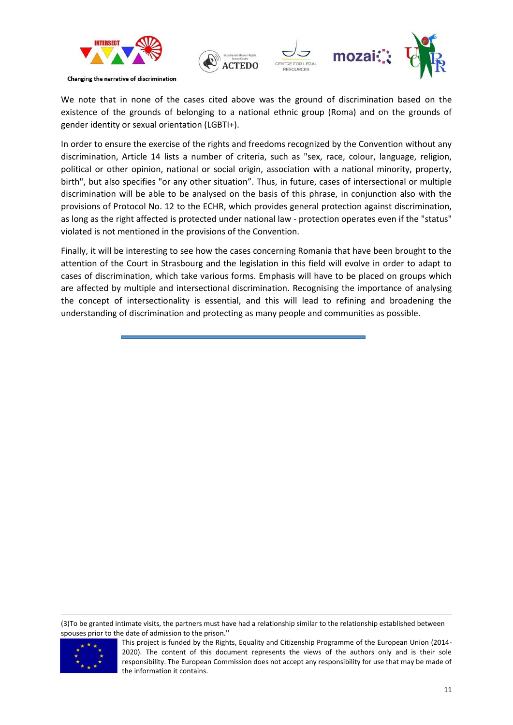



We note that in none of the cases cited above was the ground of discrimination based on the existence of the grounds of belonging to a national ethnic group (Roma) and on the grounds of gender identity or sexual orientation (LGBTI+).

In order to ensure the exercise of the rights and freedoms recognized by the Convention without any discrimination, Article 14 lists a number of criteria, such as "sex, race, colour, language, religion, political or other opinion, national or social origin, association with a national minority, property, birth", but also specifies "or any other situation". Thus, in future, cases of intersectional or multiple discrimination will be able to be analysed on the basis of this phrase, in conjunction also with the provisions of Protocol No. 12 to the ECHR, which provides general protection against discrimination, as long as the right affected is protected under national law - protection operates even if the "status" violated is not mentioned in the provisions of the Convention.

Finally, it will be interesting to see how the cases concerning Romania that have been brought to the attention of the Court in Strasbourg and the legislation in this field will evolve in order to adapt to cases of discrimination, which take various forms. Emphasis will have to be placed on groups which are affected by multiple and intersectional discrimination. Recognising the importance of analysing the concept of intersectionality is essential, and this will lead to refining and broadening the understanding of discrimination and protecting as many people and communities as possible.

(3)To be granted intimate visits, the partners must have had a relationship similar to the relationship established between spouses prior to the date of admission to the prison.''



This project is funded by the Rights, Equality and Citizenship Programme of the European Union (2014- 2020). The content of this document represents the views of the authors only and is their sole responsibility. The European Commission does not accept any responsibility for use that may be made of the information it contains.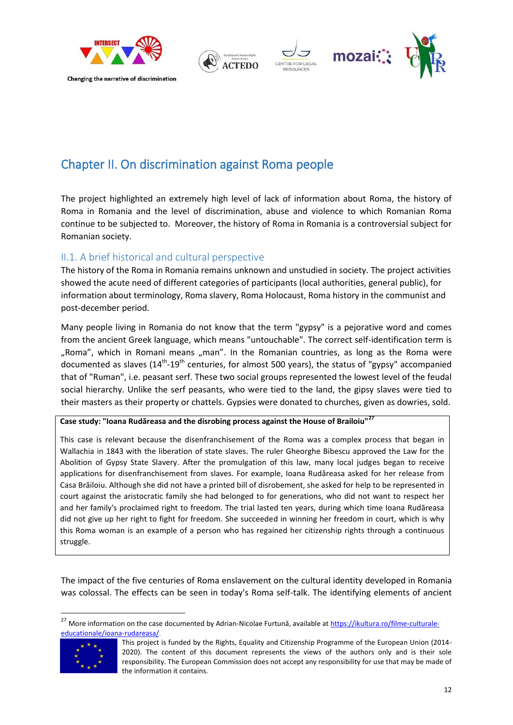

### <span id="page-11-0"></span>Chapter II. On discrimination against Roma people

The project highlighted an extremely high level of lack of information about Roma, the history of Roma in Romania and the level of discrimination, abuse and violence to which Romanian Roma continue to be subjected to. Moreover, the history of Roma in Romania is a controversial subject for Romanian society.

### <span id="page-11-1"></span>II.1. A brief historical and cultural perspective

The history of the Roma in Romania remains unknown and unstudied in society. The project activities showed the acute need of different categories of participants (local authorities, general public), for information about terminology, Roma slavery, Roma Holocaust, Roma history in the communist and post-december period.

Many people living in Romania do not know that the term "gypsy" is a pejorative word and comes from the ancient Greek language, which means "untouchable". The correct self-identification term is "Roma", which in Romani means "man". In the Romanian countries, as long as the Roma were documented as slaves (14<sup>th</sup>-19<sup>th</sup> centuries, for almost 500 years), the status of "gypsy" accompanied that of "Ruman", i.e. peasant serf. These two social groups represented the lowest level of the feudal social hierarchy. Unlike the serf peasants, who were tied to the land, the gipsy slaves were tied to their masters as their property or chattels. Gypsies were donated to churches, given as dowries, sold.

**Case study: "Ioana Rudăreasa and the disrobing process against the House of Brailoiu"<sup>27</sup>**

This case is relevant because the disenfranchisement of the Roma was a complex process that began in Wallachia in 1843 with the liberation of state slaves. The ruler Gheorghe Bibescu approved the Law for the Abolition of Gypsy State Slavery. After the promulgation of this law, many local judges began to receive applications for disenfranchisement from slaves. For example, Ioana Rudăreasa asked for her release from Casa Brăiloiu. Although she did not have a printed bill of disrobement, she asked for help to be represented in court against the aristocratic family she had belonged to for generations, who did not want to respect her and her family's proclaimed right to freedom. The trial lasted ten years, during which time Ioana Rudăreasa did not give up her right to fight for freedom. She succeeded in winning her freedom in court, which is why this Roma woman is an example of a person who has regained her citizenship rights through a continuous struggle.

The impact of the five centuries of Roma enslavement on the cultural identity developed in Romania was colossal. The effects can be seen in today's Roma self-talk. The identifying elements of ancient

<sup>27</sup> <sup>27</sup> More information on the case documented by Adrian-Nicolae Furtună, available at [https://ikultura.ro/filme-culturale](https://ikultura.ro/filme-culturale-educationale/ioana-rudareasa/)[educationale/ioana-rudareasa/.](https://ikultura.ro/filme-culturale-educationale/ioana-rudareasa/)



This project is funded by the Rights, Equality and Citizenship Programme of the European Union (2014- 2020). The content of this document represents the views of the authors only and is their sole responsibility. The European Commission does not accept any responsibility for use that may be made of the information it contains.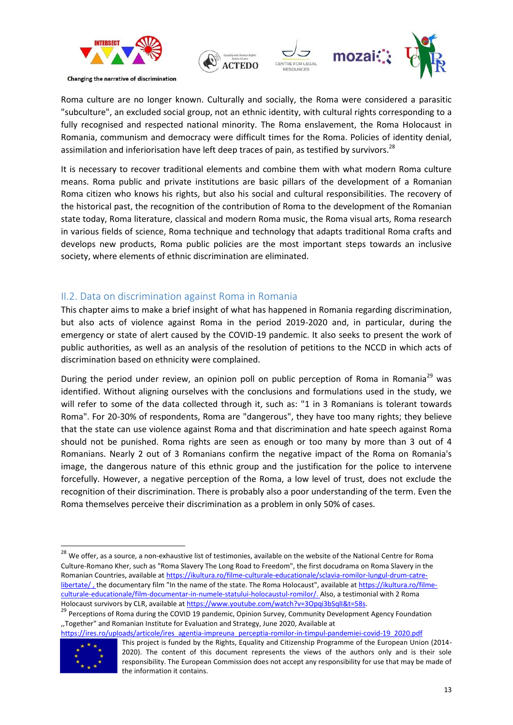



Roma culture are no longer known. Culturally and socially, the Roma were considered a parasitic "subculture", an excluded social group, not an ethnic identity, with cultural rights corresponding to a fully recognised and respected national minority. The Roma enslavement, the Roma Holocaust in Romania, communism and democracy were difficult times for the Roma. Policies of identity denial, assimilation and inferiorisation have left deep traces of pain, as testified by survivors.<sup>28</sup>

It is necessary to recover traditional elements and combine them with what modern Roma culture means. Roma public and private institutions are basic pillars of the development of a Romanian Roma citizen who knows his rights, but also his social and cultural responsibilities. The recovery of the historical past, the recognition of the contribution of Roma to the development of the Romanian state today, Roma literature, classical and modern Roma music, the Roma visual arts, Roma research in various fields of science, Roma technique and technology that adapts traditional Roma crafts and develops new products, Roma public policies are the most important steps towards an inclusive society, where elements of ethnic discrimination are eliminated.

### <span id="page-12-0"></span>II.2. Data on discrimination against Roma in Romania

This chapter aims to make a brief insight of what has happened in Romania regarding discrimination, but also acts of violence against Roma in the period 2019-2020 and, in particular, during the emergency or state of alert caused by the COVID-19 pandemic. It also seeks to present the work of public authorities, as well as an analysis of the resolution of petitions to the NCCD in which acts of discrimination based on ethnicity were complained.

During the period under review, an opinion poll on public perception of Roma in Romania<sup>29</sup> was identified. Without aligning ourselves with the conclusions and formulations used in the study, we will refer to some of the data collected through it, such as: "1 in 3 Romanians is tolerant towards Roma". For 20-30% of respondents, Roma are "dangerous", they have too many rights; they believe that the state can use violence against Roma and that discrimination and hate speech against Roma should not be punished. Roma rights are seen as enough or too many by more than 3 out of 4 Romanians. Nearly 2 out of 3 Romanians confirm the negative impact of the Roma on Romania's image, the dangerous nature of this ethnic group and the justification for the police to intervene forcefully. However, a negative perception of the Roma, a low level of trust, does not exclude the recognition of their discrimination. There is probably also a poor understanding of the term. Even the Roma themselves perceive their discrimination as a problem in only 50% of cases.

<sup>&</sup>lt;sup>29</sup> Perceptions of Roma during the COVID 19 pandemic, Opinion Survey, Community Development Agency Foundation ,,Together" and Romanian Institute for Evaluation and Strategy, June 2020, Available at





<sup>&</sup>lt;sup>28</sup> We offer, as a source, a non-exhaustive list of testimonies, available on the website of the National Centre for Roma Culture-Romano Kher, such as "Roma Slavery The Long Road to Freedom", the first docudrama on Roma Slavery in the Romanian Countries, available at [https://ikultura.ro/filme-culturale-educationale/sclavia-romilor-lungul-drum-catre](https://ikultura.ro/filme-culturale-educationale/sclavia-romilor-lungul-drum-catre-libertate/)[libertate/](https://ikultura.ro/filme-culturale-educationale/sclavia-romilor-lungul-drum-catre-libertate/), the documentary film "In the name of the state. The Roma Holocaust", available a[t https://ikultura.ro/filme](https://ikultura.ro/filme-culturale-educationale/film-documentar-in-numele-statului-holocaustul-romilor/)[culturale-educationale/film-documentar-in-numele-statului-holocaustul-romilor/.](https://ikultura.ro/filme-culturale-educationale/film-documentar-in-numele-statului-holocaustul-romilor/) Also, a testimonial with 2 Roma Holocaust survivors by CLR, available at https://www.youtube.com/watch?v=3Opqi3bSqlI&t=58s.

This project is funded by the Rights, Equality and Citizenship Programme of the European Union (2014- 2020). The content of this document represents the views of the authors only and is their sole responsibility. The European Commission does not accept any responsibility for use that may be made of the information it contains.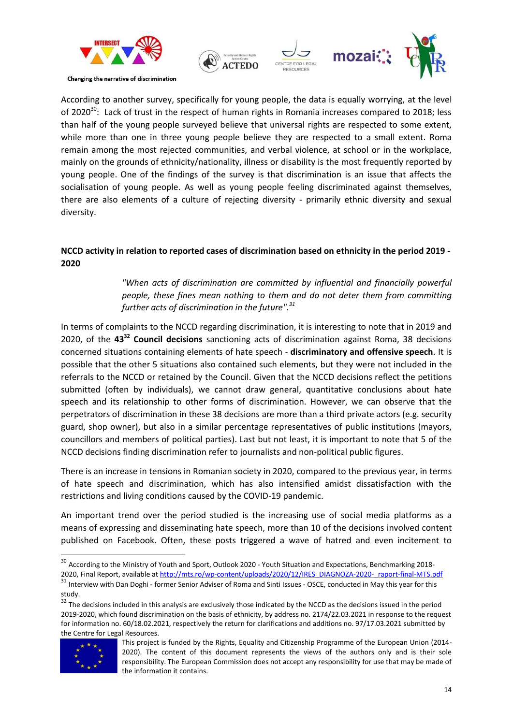



According to another survey, specifically for young people, the data is equally worrying, at the level of 2020 $^{30}$ : Lack of trust in the respect of human rights in Romania increases compared to 2018; less than half of the young people surveyed believe that universal rights are respected to some extent, while more than one in three young people believe they are respected to a small extent. Roma remain among the most rejected communities, and verbal violence, at school or in the workplace, mainly on the grounds of ethnicity/nationality, illness or disability is the most frequently reported by young people. One of the findings of the survey is that discrimination is an issue that affects the socialisation of young people. As well as young people feeling discriminated against themselves, there are also elements of a culture of rejecting diversity - primarily ethnic diversity and sexual diversity.

### **NCCD activity in relation to reported cases of discrimination based on ethnicity in the period 2019 - 2020**

### *"When acts of discrimination are committed by influential and financially powerful people, these fines mean nothing to them and do not deter them from committing further acts of discrimination in the future".<sup>31</sup>*

In terms of complaints to the NCCD regarding discrimination, it is interesting to note that in 2019 and 2020, of the **43<sup>32</sup> Council decisions** sanctioning acts of discrimination against Roma, 38 decisions concerned situations containing elements of hate speech - **discriminatory and offensive speech**. It is possible that the other 5 situations also contained such elements, but they were not included in the referrals to the NCCD or retained by the Council. Given that the NCCD decisions reflect the petitions submitted (often by individuals), we cannot draw general, quantitative conclusions about hate speech and its relationship to other forms of discrimination. However, we can observe that the perpetrators of discrimination in these 38 decisions are more than a third private actors (e.g. security guard, shop owner), but also in a similar percentage representatives of public institutions (mayors, councillors and members of political parties). Last but not least, it is important to note that 5 of the NCCD decisions finding discrimination refer to journalists and non-political public figures.

There is an increase in tensions in Romanian society in 2020, compared to the previous year, in terms of hate speech and discrimination, which has also intensified amidst dissatisfaction with the restrictions and living conditions caused by the COVID-19 pandemic.

An important trend over the period studied is the increasing use of social media platforms as a means of expressing and disseminating hate speech, more than 10 of the decisions involved content published on Facebook. Often, these posts triggered a wave of hatred and even incitement to

 $32$  The decisions included in this analysis are exclusively those indicated by the NCCD as the decisions issued in the period 2019-2020, which found discrimination on the basis of ethnicity, by address no. 2174/22.03.2021 in response to the request for information no. 60/18.02.2021, respectively the return for clarifications and additions no. 97/17.03.2021 submitted by the Centre for Legal Resources.



<sup>&</sup>lt;sup>30</sup> According to the Ministry of Youth and Sport, Outlook 2020 - Youth Situation and Expectations, Benchmarking 20182020, Final Report, available at [http://mts.ro/wp-content/uploads/2020/12/IRES\\_DIAGNOZA-2020-\\_raport-final-MTS.pdf](http://mts.ro/wp-content/uploads/2020/12/IRES_DIAGNOZA-2020-_raport-final-MTS.pdf)  $31$  Interview with Dan Doghi - former Senior Adviser of Roma and Sinti Issues - OSCE, conducted in May this year for this

study.

This project is funded by the Rights, Equality and Citizenship Programme of the European Union (2014- 2020). The content of this document represents the views of the authors only and is their sole responsibility. The European Commission does not accept any responsibility for use that may be made of the information it contains.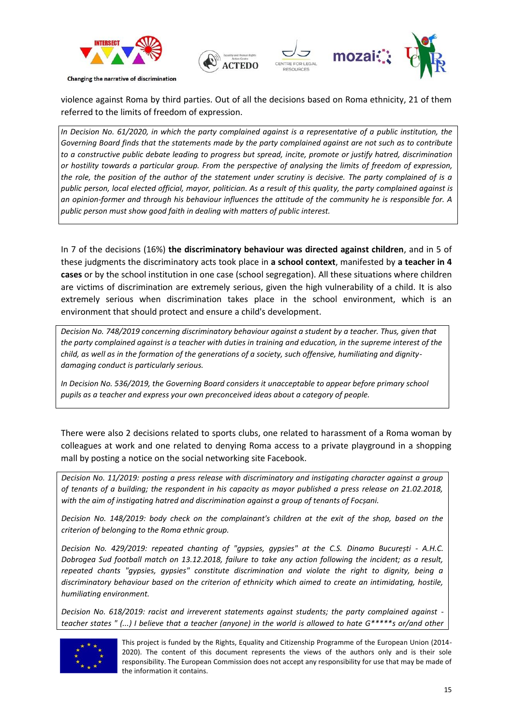



violence against Roma by third parties. Out of all the decisions based on Roma ethnicity, 21 of them referred to the limits of freedom of expression.

*In Decision No. 61/2020, in which the party complained against is a representative of a public institution, the Governing Board finds that the statements made by the party complained against are not such as to contribute to a constructive public debate leading to progress but spread, incite, promote or justify hatred, discrimination or hostility towards a particular group. From the perspective of analysing the limits of freedom of expression, the role, the position of the author of the statement under scrutiny is decisive. The party complained of is a public person, local elected official, mayor, politician. As a result of this quality, the party complained against is an opinion-former and through his behaviour influences the attitude of the community he is responsible for. A public person must show good faith in dealing with matters of public interest.*

In 7 of the decisions (16%) **the discriminatory behaviour was directed against children**, and in 5 of these judgments the discriminatory acts took place in **a school context**, manifested by **a teacher in 4 cases** or by the school institution in one case (school segregation). All these situations where children are victims of discrimination are extremely serious, given the high vulnerability of a child. It is also extremely serious when discrimination takes place in the school environment, which is an environment that should protect and ensure a child's development.

*Decision No. 748/2019 concerning discriminatory behaviour against a student by a teacher. Thus, given that the party complained against is a teacher with duties in training and education, in the supreme interest of the child, as well as in the formation of the generations of a society, such offensive, humiliating and dignitydamaging conduct is particularly serious.*

*In Decision No. 536/2019, the Governing Board considers it unacceptable to appear before primary school pupils as a teacher and express your own preconceived ideas about a category of people.*

There were also 2 decisions related to sports clubs, one related to harassment of a Roma woman by colleagues at work and one related to denying Roma access to a private playground in a shopping mall by posting a notice on the social networking site Facebook.

*Decision No. 11/2019: posting a press release with discriminatory and instigating character against a group of tenants of a building; the respondent in his capacity as mayor published a press release on 21.02.2018, with the aim of instigating hatred and discrimination against a group of tenants of Focșani.*

*Decision No. 148/2019: body check on the complainant's children at the exit of the shop, based on the criterion of belonging to the Roma ethnic group.*

*Decision No. 429/2019: repeated chanting of "gypsies, gypsies" at the C.S. Dinamo București - A.H.C. Dobrogea Sud football match on 13.12.2018, failure to take any action following the incident; as a result, repeated chants "gypsies, gypsies" constitute discrimination and violate the right to dignity, being a discriminatory behaviour based on the criterion of ethnicity which aimed to create an intimidating, hostile, humiliating environment.*

*Decision No. 618/2019: racist and irreverent statements against students; the party complained against teacher states " (...) I believe that a teacher (anyone) in the world is allowed to hate G\*\*\*\*\*s or/and other* 



This project is funded by the Rights, Equality and Citizenship Programme of the European Union (2014- 2020). The content of this document represents the views of the authors only and is their sole responsibility. The European Commission does not accept any responsibility for use that may be made of the information it contains.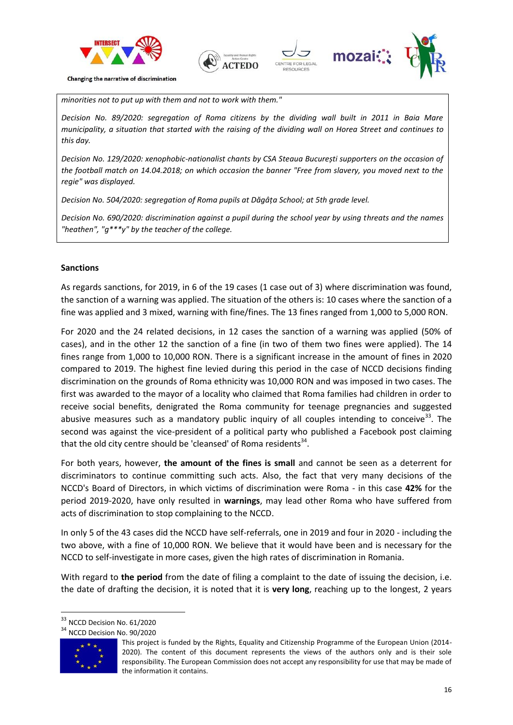





*minorities not to put up with them and not to work with them."*

*Decision No. 89/2020: segregation of Roma citizens by the dividing wall built in 2011 in Baia Mare municipality, a situation that started with the raising of the dividing wall on Horea Street and continues to this day.* 

*Decision No. 129/2020: xenophobic-nationalist chants by CSA Steaua București supporters on the occasion of the football match on 14.04.2018; on which occasion the banner "Free from slavery, you moved next to the regie" was displayed.*

*Decision No. 504/2020: segregation of Roma pupils at Dăgâța School; at 5th grade level.* 

*Decision No. 690/2020: discrimination against a pupil during the school year by using threats and the names "heathen", "g\*\*\*y" by the teacher of the college.*

#### **Sanctions**

As regards sanctions, for 2019, in 6 of the 19 cases (1 case out of 3) where discrimination was found, the sanction of a warning was applied. The situation of the others is: 10 cases where the sanction of a fine was applied and 3 mixed, warning with fine/fines. The 13 fines ranged from 1,000 to 5,000 RON.

For 2020 and the 24 related decisions, in 12 cases the sanction of a warning was applied (50% of cases), and in the other 12 the sanction of a fine (in two of them two fines were applied). The 14 fines range from 1,000 to 10,000 RON. There is a significant increase in the amount of fines in 2020 compared to 2019. The highest fine levied during this period in the case of NCCD decisions finding discrimination on the grounds of Roma ethnicity was 10,000 RON and was imposed in two cases. The first was awarded to the mayor of a locality who claimed that Roma families had children in order to receive social benefits, denigrated the Roma community for teenage pregnancies and suggested abusive measures such as a mandatory public inquiry of all couples intending to conceive<sup>33</sup>. The second was against the vice-president of a political party who published a Facebook post claiming that the old city centre should be 'cleansed' of Roma residents<sup>34</sup>.

For both years, however, **the amount of the fines is small** and cannot be seen as a deterrent for discriminators to continue committing such acts. Also, the fact that very many decisions of the NCCD's Board of Directors, in which victims of discrimination were Roma - in this case **42%** for the period 2019-2020, have only resulted in **warnings**, may lead other Roma who have suffered from acts of discrimination to stop complaining to the NCCD.

In only 5 of the 43 cases did the NCCD have self-referrals, one in 2019 and four in 2020 - including the two above, with a fine of 10,000 RON. We believe that it would have been and is necessary for the NCCD to self-investigate in more cases, given the high rates of discrimination in Romania.

With regard to **the period** from the date of filing a complaint to the date of issuing the decision, i.e. the date of drafting the decision, it is noted that it is **very long**, reaching up to the longest, 2 years

<sup>&</sup>lt;sup>34</sup> NCCD Decision No. 90/2020



<sup>&</sup>lt;sup>33</sup> NCCD Decision No. 61/2020

This project is funded by the Rights, Equality and Citizenship Programme of the European Union (2014- 2020). The content of this document represents the views of the authors only and is their sole responsibility. The European Commission does not accept any responsibility for use that may be made of the information it contains.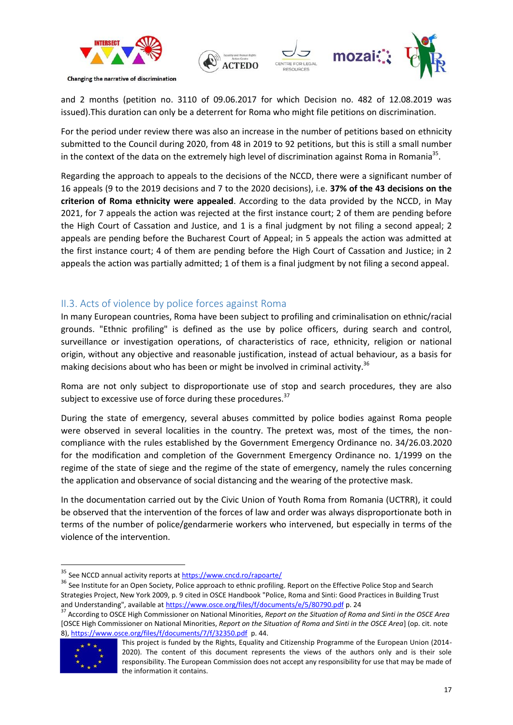

and 2 months (petition no. 3110 of 09.06.2017 for which Decision no. 482 of 12.08.2019 was issued).This duration can only be a deterrent for Roma who might file petitions on discrimination.

For the period under review there was also an increase in the number of petitions based on ethnicity submitted to the Council during 2020, from 48 in 2019 to 92 petitions, but this is still a small number in the context of the data on the extremely high level of discrimination against Roma in Romania<sup>35</sup>.

Regarding the approach to appeals to the decisions of the NCCD, there were a significant number of 16 appeals (9 to the 2019 decisions and 7 to the 2020 decisions), i.e. **37% of the 43 decisions on the criterion of Roma ethnicity were appealed**. According to the data provided by the NCCD, in May 2021, for 7 appeals the action was rejected at the first instance court; 2 of them are pending before the High Court of Cassation and Justice, and 1 is a final judgment by not filing a second appeal; 2 appeals are pending before the Bucharest Court of Appeal; in 5 appeals the action was admitted at the first instance court; 4 of them are pending before the High Court of Cassation and Justice; in 2 appeals the action was partially admitted; 1 of them is a final judgment by not filing a second appeal.

### <span id="page-16-0"></span>II.3. Acts of violence by police forces against Roma

In many European countries, Roma have been subject to profiling and criminalisation on ethnic/racial grounds. "Ethnic profiling" is defined as the use by police officers, during search and control, surveillance or investigation operations, of characteristics of race, ethnicity, religion or national origin, without any objective and reasonable justification, instead of actual behaviour, as a basis for making decisions about who has been or might be involved in criminal activity.<sup>36</sup>

Roma are not only subject to disproportionate use of stop and search procedures, they are also subject to excessive use of force during these procedures. $37$ 

During the state of emergency, several abuses committed by police bodies against Roma people were observed in several localities in the country. The pretext was, most of the times, the noncompliance with the rules established by the Government Emergency Ordinance no. 34/26.03.2020 for the modification and completion of the Government Emergency Ordinance no. 1/1999 on the regime of the state of siege and the regime of the state of emergency, namely the rules concerning the application and observance of social distancing and the wearing of the protective mask.

In the documentation carried out by the Civic Union of Youth Roma from Romania (UCTRR), it could be observed that the intervention of the forces of law and order was always disproportionate both in terms of the number of police/gendarmerie workers who intervened, but especially in terms of the violence of the intervention.

<sup>37</sup> According to OSCE High Commissioner on National Minorities, *Report on the Situation of Roma and Sinti in the OSCE Area* [OSCE High Commissioner on National Minorities, *Report on the Situation of Roma and Sinti in the OSCE Area*] (op. cit. note 8), <https://www.osce.org/files/f/documents/7/f/32350.pdf> p. 44.



1

<sup>&</sup>lt;sup>35</sup> See NCCD annual activity reports at **https://www.cncd.ro/rapoarte/** 

<sup>&</sup>lt;sup>36</sup> See Institute for an Open Society, Police approach to ethnic profiling. Report on the Effective Police Stop and Search Strategies Project, New York 2009, p. 9 cited in OSCE Handbook "Police, Roma and Sinti: Good Practices in Building Trust and Understanding", available a[t https://www.osce.org/files/f/documents/e/5/80790.pdf](https://www.osce.org/files/f/documents/e/5/80790.pdf) p. 24

This project is funded by the Rights, Equality and Citizenship Programme of the European Union (2014- 2020). The content of this document represents the views of the authors only and is their sole responsibility. The European Commission does not accept any responsibility for use that may be made of the information it contains.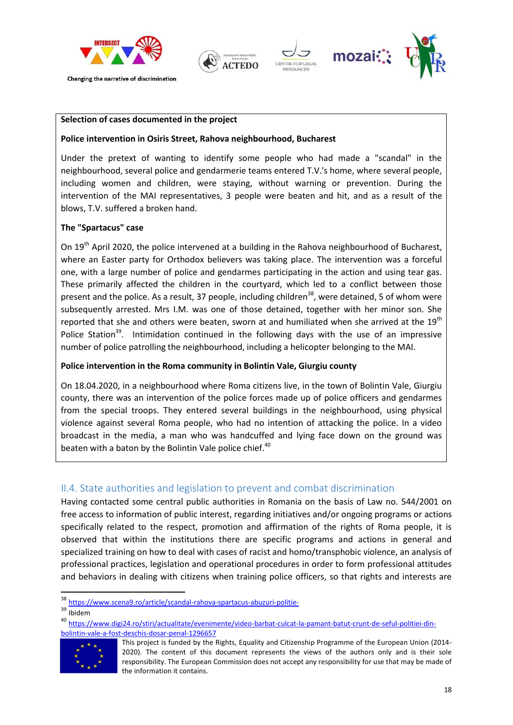







#### **Selection of cases documented in the project**

#### **Police intervention in Osiris Street, Rahova neighbourhood, Bucharest**

Under the pretext of wanting to identify some people who had made a "scandal" in the neighbourhood, several police and gendarmerie teams entered T.V.'s home, where several people, including women and children, were staying, without warning or prevention. During the intervention of the MAI representatives, 3 people were beaten and hit, and as a result of the blows, T.V. suffered a broken hand.

### **The "Spartacus" case**

On  $19<sup>th</sup>$  April 2020, the police intervened at a building in the Rahova neighbourhood of Bucharest, where an Easter party for Orthodox believers was taking place. The intervention was a forceful one, with a large number of police and gendarmes participating in the action and using tear gas. These primarily affected the children in the courtyard, which led to a conflict between those present and the police. As a result, 37 people, including children<sup>38</sup>, were detained, 5 of whom were subsequently arrested. Mrs I.M. was one of those detained, together with her minor son. She reported that she and others were beaten, sworn at and humiliated when she arrived at the  $19<sup>th</sup>$ Police Station<sup>39</sup>. Intimidation continued in the following days with the use of an impressive number of police patrolling the neighbourhood, including a helicopter belonging to the MAI.

#### **Police intervention in the Roma community in Bolintin Vale, Giurgiu county**

On 18.04.2020, in a neighbourhood where Roma citizens live, in the town of Bolintin Vale, Giurgiu county, there was an intervention of the police forces made up of police officers and gendarmes from the special troops. They entered several buildings in the neighbourhood, using physical violence against several Roma people, who had no intention of attacking the police. In a video broadcast in the media, a man who was handcuffed and lying face down on the ground was beaten with a baton by the Bolintin Vale police chief.<sup>40</sup>

### <span id="page-17-0"></span>II.4. State authorities and legislation to prevent and combat discrimination

Having contacted some central public authorities in Romania on the basis of Law no. 544/2001 on free access to information of public interest, regarding initiatives and/or ongoing programs or actions specifically related to the respect, promotion and affirmation of the rights of Roma people, it is observed that within the institutions there are specific programs and actions in general and specialized training on how to deal with cases of racist and homo/transphobic violence, an analysis of professional practices, legislation and operational procedures in order to form professional attitudes and behaviors in dealing with citizens when training police officers, so that rights and interests are

1

<sup>40</sup> [https://www.digi24.ro/stiri/actualitate/evenimente/video-barbat-culcat-la-pamant-batut-crunt-de-seful-politiei-din](https://www.digi24.ro/stiri/actualitate/evenimente/video-barbat-culcat-la-pamant-batut-crunt-de-seful-politiei-din-bolintin-vale-a-fost-deschis-dosar-penal-1296657)[bolintin-vale-a-fost-deschis-dosar-penal-1296657](https://www.digi24.ro/stiri/actualitate/evenimente/video-barbat-culcat-la-pamant-batut-crunt-de-seful-politiei-din-bolintin-vale-a-fost-deschis-dosar-penal-1296657)



This project is funded by the Rights, Equality and Citizenship Programme of the European Union (2014- 2020). The content of this document represents the views of the authors only and is their sole responsibility. The European Commission does not accept any responsibility for use that may be made of the information it contains.

<sup>38</sup> <https://www.scena9.ro/article/scandal-rahova-spartacus-abuzuri-politie->

<sup>&</sup>lt;sup>39</sup> Ibidem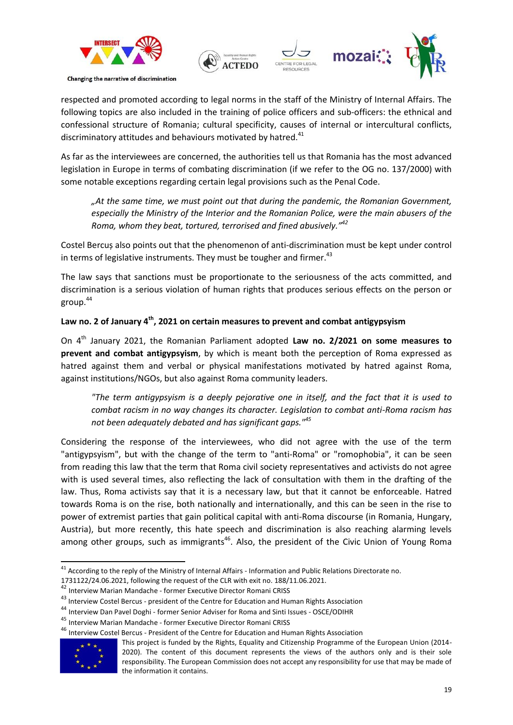

respected and promoted according to legal norms in the staff of the Ministry of Internal Affairs. The following topics are also included in the training of police officers and sub-officers: the ethnical and confessional structure of Romania; cultural specificity, causes of internal or intercultural conflicts, discriminatory attitudes and behaviours motivated by hatred. $41$ 

As far as the interviewees are concerned, the authorities tell us that Romania has the most advanced legislation in Europe in terms of combating discrimination (if we refer to the OG no. 137/2000) with some notable exceptions regarding certain legal provisions such as the Penal Code.

*"At the same time, we must point out that during the pandemic, the Romanian Government, especially the Ministry of the Interior and the Romanian Police, were the main abusers of the Roma, whom they beat, tortured, terrorised and fined abusively." 42*

Costel Bercuș also points out that the phenomenon of anti-discrimination must be kept under control in terms of legislative instruments. They must be tougher and firmer.<sup>43</sup>

The law says that sanctions must be proportionate to the seriousness of the acts committed, and discrimination is a serious violation of human rights that produces serious effects on the person or group.<sup>44</sup>

### **Law no. 2 of January 4th, 2021 on certain measures to prevent and combat antigypsyism**

On 4th January 2021, the Romanian Parliament adopted **Law no. 2/2021 on some measures to prevent and combat antigypsyism**, by which is meant both the perception of Roma expressed as hatred against them and verbal or physical manifestations motivated by hatred against Roma, against institutions/NGOs, but also against Roma community leaders.

*"The term antigypsyism is a deeply pejorative one in itself, and the fact that it is used to combat racism in no way changes its character. Legislation to combat anti-Roma racism has not been adequately debated and has significant gaps."<sup>45</sup>*

Considering the response of the interviewees, who did not agree with the use of the term "antigypsyism", but with the change of the term to "anti-Roma" or "romophobia", it can be seen from reading this law that the term that Roma civil society representatives and activists do not agree with is used several times, also reflecting the lack of consultation with them in the drafting of the law. Thus, Roma activists say that it is a necessary law, but that it cannot be enforceable. Hatred towards Roma is on the rise, both nationally and internationally, and this can be seen in the rise to power of extremist parties that gain political capital with anti-Roma discourse (in Romania, Hungary, Austria), but more recently, this hate speech and discrimination is also reaching alarming levels among other groups, such as immigrants<sup>46</sup>. Also, the president of the Civic Union of Young Roma

<sup>46</sup> Interview Costel Bercus - President of the Centre for Education and Human Rights Association



 $41$  According to the reply of the Ministry of Internal Affairs - Information and Public Relations Directorate no.

<sup>1731122/24.06.2021,</sup> following the request of the CLR with exit no. 188/11.06.2021.

<sup>42</sup> Interview Marian Mandache - former Executive Director Romani CRISS

<sup>&</sup>lt;sup>43</sup> Interview Costel Bercus - president of the Centre for Education and Human Rights Association

<sup>44</sup> Interview Dan Pavel Doghi - former Senior Adviser for Roma and Sinti Issues - OSCE/ODIHR

<sup>45</sup> Interview Marian Mandache - former Executive Director Romani CRISS

This project is funded by the Rights, Equality and Citizenship Programme of the European Union (2014- 2020). The content of this document represents the views of the authors only and is their sole responsibility. The European Commission does not accept any responsibility for use that may be made of the information it contains.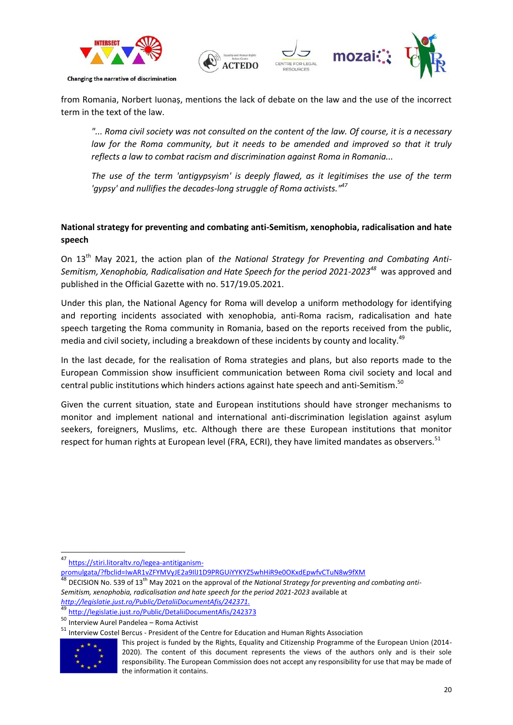



from Romania, Norbert Iuonaș, mentions the lack of debate on the law and the use of the incorrect term in the text of the law.

*"... Roma civil society was not consulted on the content of the law. Of course, it is a necessary*  law for the Roma community, but it needs to be amended and improved so that it truly *reflects a law to combat racism and discrimination against Roma in Romania...*

*The use of the term 'antigypsyism' is deeply flawed, as it legitimises the use of the term 'gypsy' and nullifies the decades-long struggle of Roma activists."<sup>47</sup>*

### **National strategy for preventing and combating anti-Semitism, xenophobia, radicalisation and hate speech**

On 13<sup>th</sup> May 2021, the action plan of the National Strategy for Preventing and Combating Anti-*Semitism, Xenophobia, Radicalisation and Hate Speech for the period 2021-2023<sup>48</sup>* was approved and published in the Official Gazette with no. 517/19.05.2021.

Under this plan, the National Agency for Roma will develop a uniform methodology for identifying and reporting incidents associated with xenophobia, anti-Roma racism, radicalisation and hate speech targeting the Roma community in Romania, based on the reports received from the public, media and civil society, including a breakdown of these incidents by county and locality.<sup>49</sup>

In the last decade, for the realisation of Roma strategies and plans, but also reports made to the European Commission show insufficient communication between Roma civil society and local and central public institutions which hinders actions against hate speech and anti-Semitism.<sup>50</sup>

Given the current situation, state and European institutions should have stronger mechanisms to monitor and implement national and international anti-discrimination legislation against asylum seekers, foreigners, Muslims, etc. Although there are these European institutions that monitor respect for human rights at European level (FRA, ECRI), they have limited mandates as observers.<sup>51</sup>

<sup>51</sup> Interview Costel Bercus - President of the Centre for Education and Human Rights Association



This project is funded by the Rights, Equality and Citizenship Programme of the European Union (2014- 2020). The content of this document represents the views of the authors only and is their sole responsibility. The European Commission does not accept any responsibility for use that may be made of the information it contains.

<sup>1</sup> <sup>47</sup> [https://stiri.litoraltv.ro/legea-antitiganism-](https://stiri.litoraltv.ro/legea-antitiganism-promulgata/?fbclid=IwAR1vZFYMVyJE2a9IlJ1D9PRGUiYYKYZ5whHiR9e0OKxdEpwfvCTuN8w9fXM)

[promulgata/?fbclid=IwAR1vZFYMVyJE2a9IlJ1D9PRGUiYYKYZ5whHiR9e0OKxdEpwfvCTuN8w9fXM](https://stiri.litoraltv.ro/legea-antitiganism-promulgata/?fbclid=IwAR1vZFYMVyJE2a9IlJ1D9PRGUiYYKYZ5whHiR9e0OKxdEpwfvCTuN8w9fXM)

<sup>&</sup>lt;sup>48</sup> DECISION No. 539 of 13<sup>th</sup> May 2021 on the approval of the National Strategy for preventing and combating anti-*Semitism, xenophobia, radicalisation and hate speech for the period 2021-2023* available at *[http://legislatie.just.ro/Public/DetaliiDocumentAfis/242371.](http://legislatie.just.ro/Public/DetaliiDocumentAfis/242371)* 

 $^{49}$  <http://legislatie.just.ro/Public/DetaliiDocumentAfis/242373>

<sup>50</sup> Interview Aurel Pandelea – Roma Activist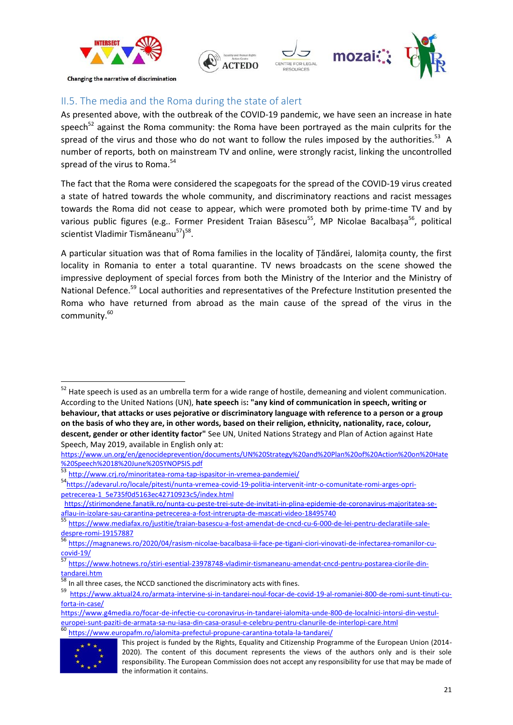

### <span id="page-20-0"></span>II.5. The media and the Roma during the state of alert

As presented above, with the outbreak of the COVID-19 pandemic, we have seen an increase in hate speech<sup>52</sup> against the Roma community: the Roma have been portrayed as the main culprits for the spread of the virus and those who do not want to follow the rules imposed by the authorities.<sup>53</sup> A number of reports, both on mainstream TV and online, were strongly racist, linking the uncontrolled spread of the virus to Roma.<sup>54</sup>

The fact that the Roma were considered the scapegoats for the spread of the COVID-19 virus created a state of hatred towards the whole community, and discriminatory reactions and racist messages towards the Roma did not cease to appear, which were promoted both by prime-time TV and by various public figures (e.g.. Former President Traian Băsescu<sup>55</sup>, MP Nicolae Bacalbașa<sup>56</sup>, political scientist Vladimir Tismăneanu<sup>57</sup>)<sup>58</sup>.

A particular situation was that of Roma families in the locality of Țăndărei, Ialomița county, the first locality in Romania to enter a total quarantine. TV news broadcasts on the scene showed the impressive deployment of special forces from both the Ministry of the Interior and the Ministry of National Defence.<sup>59</sup> Local authorities and representatives of the Prefecture Institution presented the Roma who have returned from abroad as the main cause of the spread of the virus in the community.<sup>60</sup>

[https://www.g4media.ro/focar-de-infectie-cu-coronavirus-in-tandarei-ialomita-unde-800-de-localnici-intorsi-din-vestul](https://www.g4media.ro/focar-de-infectie-cu-coronavirus-in-tandarei-ialomita-unde-800-de-localnici-intorsi-din-vestul-europei-sunt-paziti-de-armata-sa-nu-iasa-din-casa-orasul-e-celebru-pentru-clanurile-de-interlopi-care.html)[europei-sunt-paziti-de-armata-sa-nu-iasa-din-casa-orasul-e-celebru-pentru-clanurile-de-interlopi-care.html](https://www.g4media.ro/focar-de-infectie-cu-coronavirus-in-tandarei-ialomita-unde-800-de-localnici-intorsi-din-vestul-europei-sunt-paziti-de-armata-sa-nu-iasa-din-casa-orasul-e-celebru-pentru-clanurile-de-interlopi-care.html) <sup>60</sup> <https://www.europafm.ro/ialomita-prefectul-propune-carantina-totala-la-tandarei/>



<sup>&</sup>lt;sup>52</sup> Hate speech is used as an umbrella term for a wide range of hostile, demeaning and violent communication. According to the United Nations (UN), **hate speech** is**: "any kind of communication in speech, writing or behaviour, that attacks or uses pejorative or discriminatory language with reference to a person or a group on the basis of who they are, in other words, based on their religion, ethnicity, nationality, race, colour, descent, gender or other identity factor"** See UN, United Nations Strategy and Plan of Action against Hate Speech, May 2019, available in English only at:

[https://www.un.org/en/genocideprevention/documents/UN%20Strategy%20and%20Plan%20of%20Action%20on%20Hate](https://www.un.org/en/genocideprevention/documents/UN%20Strategy%20and%20Plan%20of%20Action%20on%20Hate%20Speech%2018%20June%20SYNOPSIS.pdf) [%20Speech%2018%20June%20SYNOPSIS.pdf](https://www.un.org/en/genocideprevention/documents/UN%20Strategy%20and%20Plan%20of%20Action%20on%20Hate%20Speech%2018%20June%20SYNOPSIS.pdf)

<sup>53</sup> <http://www.crj.ro/minoritatea-roma-tap-ispasitor-in-vremea-pandemiei/>

<sup>54</sup>[https://adevarul.ro/locale/pitesti/nunta-vremea-covid-19-politia-intervenit-intr-o-comunitate-romi-arges-opri](https://adevarul.ro/locale/pitesti/nunta-vremea-covid-19-politia-intervenit-intr-o-comunitate-romi-arges-opri-petrecerea-1_5e735f0d5163ec42710923c5/index.html)[petrecerea-1\\_5e735f0d5163ec42710923c5/index.html](https://adevarul.ro/locale/pitesti/nunta-vremea-covid-19-politia-intervenit-intr-o-comunitate-romi-arges-opri-petrecerea-1_5e735f0d5163ec42710923c5/index.html)

[https://stirimondene.fanatik.ro/nunta-cu-peste-trei-sute-de-invitati-in-plina-epidemie-de-coronavirus-majoritatea-se](https://stirimondene.fanatik.ro/nunta-cu-peste-trei-sute-de-invitati-in-plina-epidemie-de-coronavirus-majoritatea-se-aflau-in-izolare-sau-carantina-petrecerea-a-fost-intrerupta-de-mascati-video-18495740)[aflau-in-izolare-sau-carantina-petrecerea-a-fost-intrerupta-de-mascati-video-18495740](https://stirimondene.fanatik.ro/nunta-cu-peste-trei-sute-de-invitati-in-plina-epidemie-de-coronavirus-majoritatea-se-aflau-in-izolare-sau-carantina-petrecerea-a-fost-intrerupta-de-mascati-video-18495740)

<sup>55</sup> [https://www.mediafax.ro/justitie/traian-basescu-a-fost-amendat-de-cncd-cu-6-000-de-lei-pentru-declaratiile-sale](https://www.mediafax.ro/justitie/traian-basescu-a-fost-amendat-de-cncd-cu-6-000-de-lei-pentru-declaratiile-sale-despre-romi-19157887)[despre-romi-19157887](https://www.mediafax.ro/justitie/traian-basescu-a-fost-amendat-de-cncd-cu-6-000-de-lei-pentru-declaratiile-sale-despre-romi-19157887)

<sup>56</sup> [https://magnanews.ro/2020/04/rasism-nicolae-bacalbasa-ii-face-pe-tigani-ciori-vinovati-de-infectarea-romanilor-cu](https://magnanews.ro/2020/04/rasism-nicolae-bacalbasa-ii-face-pe-tigani-ciori-vinovati-de-infectarea-romanilor-cu-covid-19/)[covid-19/](https://magnanews.ro/2020/04/rasism-nicolae-bacalbasa-ii-face-pe-tigani-ciori-vinovati-de-infectarea-romanilor-cu-covid-19/)

<sup>57</sup> [https://www.hotnews.ro/stiri-esential-23978748-vladimir-tismaneanu-amendat-cncd-pentru-postarea-ciorile-din](https://www.hotnews.ro/stiri-esential-23978748-vladimir-tismaneanu-amendat-cncd-pentru-postarea-ciorile-din-tandarei.htm)[tandarei.htm](https://www.hotnews.ro/stiri-esential-23978748-vladimir-tismaneanu-amendat-cncd-pentru-postarea-ciorile-din-tandarei.htm)

In all three cases, the NCCD sanctioned the discriminatory acts with fines.

<sup>59</sup> [https://www.aktual24.ro/armata-intervine-si-in-tandarei-noul-focar-de-covid-19-al-romaniei-800-de-romi-sunt-tinuti-cu](https://www.aktual24.ro/armata-intervine-si-in-tandarei-noul-focar-de-covid-19-al-romaniei-800-de-romi-sunt-tinuti-cu-forta-in-case/)[forta-in-case/](https://www.aktual24.ro/armata-intervine-si-in-tandarei-noul-focar-de-covid-19-al-romaniei-800-de-romi-sunt-tinuti-cu-forta-in-case/) 

This project is funded by the Rights, Equality and Citizenship Programme of the European Union (2014- 2020). The content of this document represents the views of the authors only and is their sole responsibility. The European Commission does not accept any responsibility for use that may be made of the information it contains.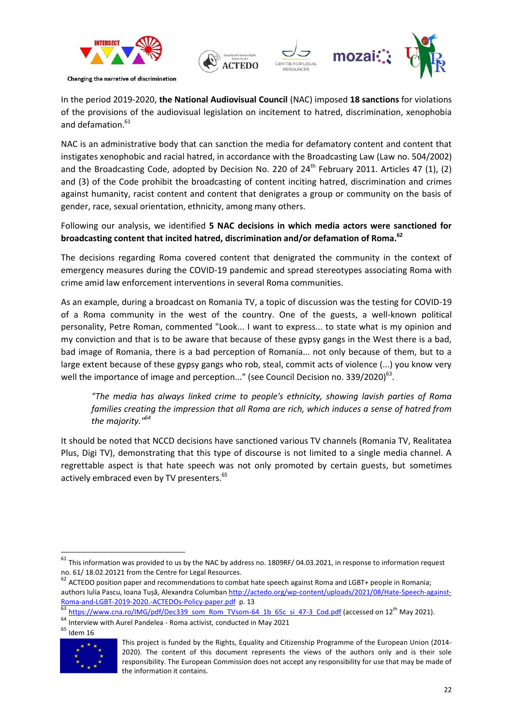



In the period 2019-2020, **the National Audiovisual Council** (NAC) imposed **18 sanctions** for violations of the provisions of the audiovisual legislation on incitement to hatred, discrimination, xenophobia and defamation. 61

NAC is an administrative body that can sanction the media for defamatory content and content that instigates xenophobic and racial hatred, in accordance with the Broadcasting Law (Law no. 504/2002) and the Broadcasting Code, adopted by Decision No. 220 of  $24<sup>th</sup>$  February 2011. Articles 47 (1), (2) and (3) of the Code prohibit the broadcasting of content inciting hatred, discrimination and crimes against humanity, racist content and content that denigrates a group or community on the basis of gender, race, sexual orientation, ethnicity, among many others.

### Following our analysis, we identified **5 NAC decisions in which media actors were sanctioned for broadcasting content that incited hatred, discrimination and/or defamation of Roma. 62**

The decisions regarding Roma covered content that denigrated the community in the context of emergency measures during the COVID-19 pandemic and spread stereotypes associating Roma with crime amid law enforcement interventions in several Roma communities.

As an example, during a broadcast on Romania TV, a topic of discussion was the testing for COVID-19 of a Roma community in the west of the country. One of the guests, a well-known political personality, Petre Roman, commented "Look... I want to express... to state what is my opinion and my conviction and that is to be aware that because of these gypsy gangs in the West there is a bad, bad image of Romania, there is a bad perception of Romania... not only because of them, but to a large extent because of these gypsy gangs who rob, steal, commit acts of violence (...) you know very well the importance of image and perception..." (see Council Decision no. 339/2020)<sup>63</sup>.

*"The media has always linked crime to people's ethnicity, showing lavish parties of Roma families creating the impression that all Roma are rich, which induces a sense of hatred from the majority."<sup>64</sup>*

It should be noted that NCCD decisions have sanctioned various TV channels (Romania TV, Realitatea Plus, Digi TV), demonstrating that this type of discourse is not limited to a single media channel. A regrettable aspect is that hate speech was not only promoted by certain guests, but sometimes actively embraced even by TV presenters.<sup>65</sup>

1



This project is funded by the Rights, Equality and Citizenship Programme of the European Union (2014- 2020). The content of this document represents the views of the authors only and is their sole responsibility. The European Commission does not accept any responsibility for use that may be made of the information it contains.

 $61$  This information was provided to us by the NAC by address no. 1809RF/ 04.03.2021, in response to information request no. 61/ 18.02.20121 from the Centre for Legal Resources.

 $62$  ACTEDO position paper and recommendations to combat hate speech against Roma and LGBT+ people in Romania; authors Iulia Pascu, Ioana Tușă, Alexandra Columban [http://actedo.org/wp-content/uploads/2021/08/Hate-Speech-against-](http://actedo.org/wp-content/uploads/2021/08/Hate-Speech-against-Roma-and-LGBT-2019-2020.-ACTEDOs-Policy-paper.pdf)[Roma-and-LGBT-2019-2020.-ACTEDOs-Policy-paper.pdf](http://actedo.org/wp-content/uploads/2021/08/Hate-Speech-against-Roma-and-LGBT-2019-2020.-ACTEDOs-Policy-paper.pdf) p. 13

[https://www.cna.ro/IMG/pdf/Dec339\\_som\\_Rom\\_TVsom-64\\_1b\\_65c\\_si\\_47-3\\_Cod.pdf](https://www.cna.ro/IMG/pdf/Dec339_som_Rom_TVsom-64_1b_65c_si_47-3_Cod.pdf) (accessed on 12<sup>th</sup> May 2021).

<sup>&</sup>lt;sup>64</sup> Interview with Aurel Pandelea - Roma activist, conducted in May 2021

 $^{65}$  Idem 16  $\,$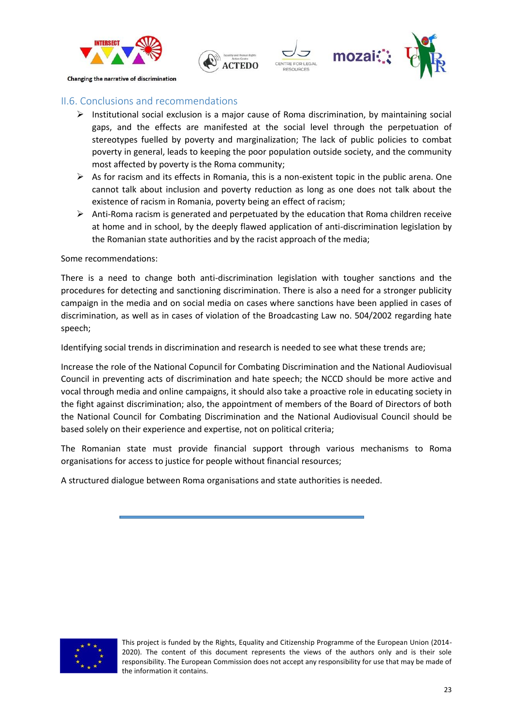



### <span id="page-22-0"></span>II.6. Conclusions and recommendations

- $\triangleright$  Institutional social exclusion is a major cause of Roma discrimination, by maintaining social gaps, and the effects are manifested at the social level through the perpetuation of stereotypes fuelled by poverty and marginalization; The lack of public policies to combat poverty in general, leads to keeping the poor population outside society, and the community most affected by poverty is the Roma community;
- $\triangleright$  As for racism and its effects in Romania, this is a non-existent topic in the public arena. One cannot talk about inclusion and poverty reduction as long as one does not talk about the existence of racism in Romania, poverty being an effect of racism;
- Anti-Roma racism is generated and perpetuated by the education that Roma children receive at home and in school, by the deeply flawed application of anti-discrimination legislation by the Romanian state authorities and by the racist approach of the media;

Some recommendations:

There is a need to change both anti-discrimination legislation with tougher sanctions and the procedures for detecting and sanctioning discrimination. There is also a need for a stronger publicity campaign in the media and on social media on cases where sanctions have been applied in cases of discrimination, as well as in cases of violation of the Broadcasting Law no. 504/2002 regarding hate speech;

Identifying social trends in discrimination and research is needed to see what these trends are;

Increase the role of the National Copuncil for Combating Discrimination and the National Audiovisual Council in preventing acts of discrimination and hate speech; the NCCD should be more active and vocal through media and online campaigns, it should also take a proactive role in educating society in the fight against discrimination; also, the appointment of members of the Board of Directors of both the National Council for Combating Discrimination and the National Audiovisual Council should be based solely on their experience and expertise, not on political criteria;

The Romanian state must provide financial support through various mechanisms to Roma organisations for access to justice for people without financial resources;

A structured dialogue between Roma organisations and state authorities is needed.

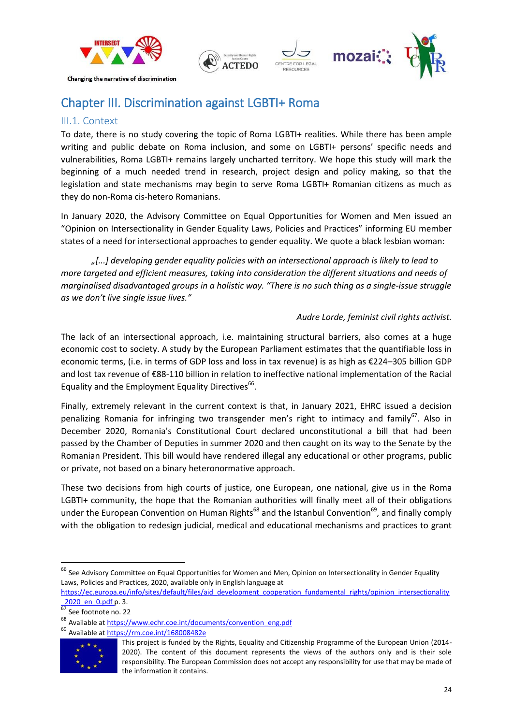



## <span id="page-23-0"></span>Chapter III. Discrimination against LGBTI+ Roma

### <span id="page-23-1"></span>III.1. Context

To date, there is no study covering the topic of Roma LGBTI+ realities. While there has been ample writing and public debate on Roma inclusion, and some on LGBTI+ persons' specific needs and vulnerabilities, Roma LGBTI+ remains largely uncharted territory. We hope this study will mark the beginning of a much needed trend in research, project design and policy making, so that the legislation and state mechanisms may begin to serve Roma LGBTI+ Romanian citizens as much as they do non-Roma cis-hetero Romanians.

In January 2020, the Advisory Committee on Equal Opportunities for Women and Men issued an "Opinion on Intersectionality in Gender Equality Laws, Policies and Practices" informing EU member states of a need for intersectional approaches to gender equality. We quote a black lesbian woman:

*"[...] developing gender equality policies with an intersectional approach is likely to lead to more targeted and efficient measures, taking into consideration the different situations and needs of marginalised disadvantaged groups in a holistic way. "There is no such thing as a single-issue struggle as we don't live single issue lives."* 

### *Audre Lorde, feminist civil rights activist.*

The lack of an intersectional approach, i.e. maintaining structural barriers, also comes at a huge economic cost to society. A study by the European Parliament estimates that the quantifiable loss in economic terms, (i.e. in terms of GDP loss and loss in tax revenue) is as high as €224–305 billion GDP and lost tax revenue of €88-110 billion in relation to ineffective national implementation of the Racial Equality and the Employment Equality Directives<sup>66</sup>.

Finally, extremely relevant in the current context is that, in January 2021, EHRC issued a decision penalizing Romania for infringing two transgender men's right to intimacy and family<sup>67</sup>. Also in December 2020, Romania's Constitutional Court declared unconstitutional a bill that had been passed by the Chamber of Deputies in summer 2020 and then caught on its way to the Senate by the Romanian President. This bill would have rendered illegal any educational or other programs, public or private, not based on a binary heteronormative approach.

These two decisions from high courts of justice, one European, one national, give us in the Roma LGBTI+ community, the hope that the Romanian authorities will finally meet all of their obligations under the European Convention on Human Rights<sup>68</sup> and the Istanbul Convention<sup>69</sup>, and finally comply with the obligation to redesign judicial, medical and educational mechanisms and practices to grant

<sup>&</sup>lt;sup>69</sup> Available at https://rm.coe.int/168008482e



This project is funded by the Rights, Equality and Citizenship Programme of the European Union (2014- 2020). The content of this document represents the views of the authors only and is their sole responsibility. The European Commission does not accept any responsibility for use that may be made of the information it contains.

 $^{66}$  See Advisory Committee on Equal Opportunities for Women and Men, Opinion on Intersectionality in Gender Equality Laws, Policies and Practices, 2020, available only in English language at

[https://ec.europa.eu/info/sites/default/files/aid\\_development\\_cooperation\\_fundamental\\_rights/opinion\\_intersectionality](https://ec.europa.eu/info/sites/default/files/aid_development_cooperation_fundamental_rights/opinion_intersectionality_2020_en_0.pdf)  $\frac{2020 \text{ en } 0. \text{pdf}}{67}$  See fectors as 27

See footnote no. 22

<sup>68</sup> Available at https://www.echr.coe.int/documents/convention\_eng.pdf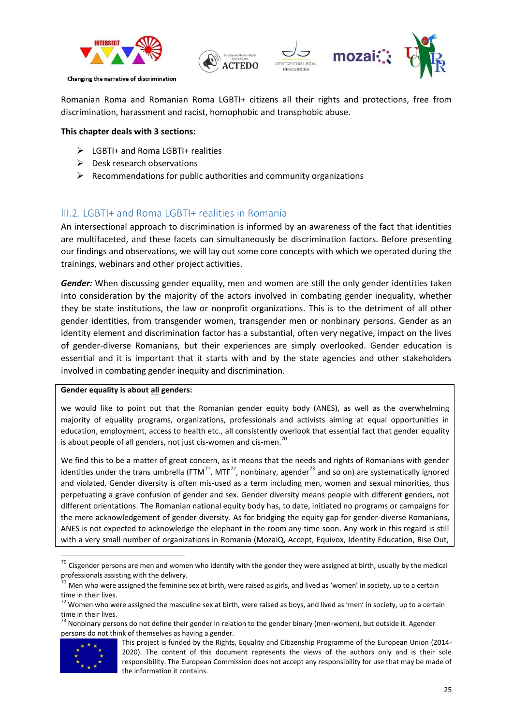



Romanian Roma and Romanian Roma LGBTI+ citizens all their rights and protections, free from discrimination, harassment and racist, homophobic and transphobic abuse.

### **This chapter deals with 3 sections:**

- $\triangleright$  LGBTI+ and Roma LGBTI+ realities
- $\triangleright$  Desk research observations
- $\triangleright$  Recommendations for public authorities and community organizations

### <span id="page-24-0"></span>III.2. LGBTI+ and Roma LGBTI+ realities in Romania

An intersectional approach to discrimination is informed by an awareness of the fact that identities are multifaceted, and these facets can simultaneously be discrimination factors. Before presenting our findings and observations, we will lay out some core concepts with which we operated during the trainings, webinars and other project activities.

*Gender:* When discussing gender equality, men and women are still the only gender identities taken into consideration by the majority of the actors involved in combating gender inequality, whether they be state institutions, the law or nonprofit organizations. This is to the detriment of all other gender identities, from transgender women, transgender men or nonbinary persons. Gender as an identity element and discrimination factor has a substantial, often very negative, impact on the lives of gender-diverse Romanians, but their experiences are simply overlooked. Gender education is essential and it is important that it starts with and by the state agencies and other stakeholders involved in combating gender inequity and discrimination.

#### **Gender equality is about all genders:**

we would like to point out that the Romanian gender equity body (ANES), as well as the overwhelming majority of equality programs, organizations, professionals and activists aiming at equal opportunities in education, employment, access to health etc., all consistently overlook that essential fact that gender equality is about people of all genders, not just cis-women and cis-men.<sup>70</sup>

We find this to be a matter of great concern, as it means that the needs and rights of Romanians with gender identities under the trans umbrella (FTM<sup>71</sup>, MTF<sup>72</sup>, nonbinary, agender<sup>73</sup> and so on) are systematically ignored and violated. Gender diversity is often mis-used as a term including men, women and sexual minorities, thus perpetuating a grave confusion of gender and sex. Gender diversity means people with different genders, not different orientations. The Romanian national equity body has, to date, initiated no programs or campaigns for the mere acknowledgement of gender diversity. As for bridging the equity gap for gender-diverse Romanians, ANES is not expected to acknowledge the elephant in the room any time soon. Any work in this regard is still with a very small number of organizations in Romania (MozaiQ, Accept, Equivox, Identity Education, Rise Out,

<sup>&</sup>lt;sup>73</sup> Nonbinary persons do not define their gender in relation to the gender binary (men-women), but outside it. Agender persons do not think of themselves as having a gender.



1

 $70$  Cisgender persons are men and women who identify with the gender they were assigned at birth, usually by the medical professionals assisting with the delivery.

 $^{71}$  Men who were assigned the feminine sex at birth, were raised as girls, and lived as 'women' in society, up to a certain time in their lives.

 $72$  Women who were assigned the masculine sex at birth, were raised as boys, and lived as 'men' in society, up to a certain time in their lives.

This project is funded by the Rights, Equality and Citizenship Programme of the European Union (2014- 2020). The content of this document represents the views of the authors only and is their sole responsibility. The European Commission does not accept any responsibility for use that may be made of the information it contains.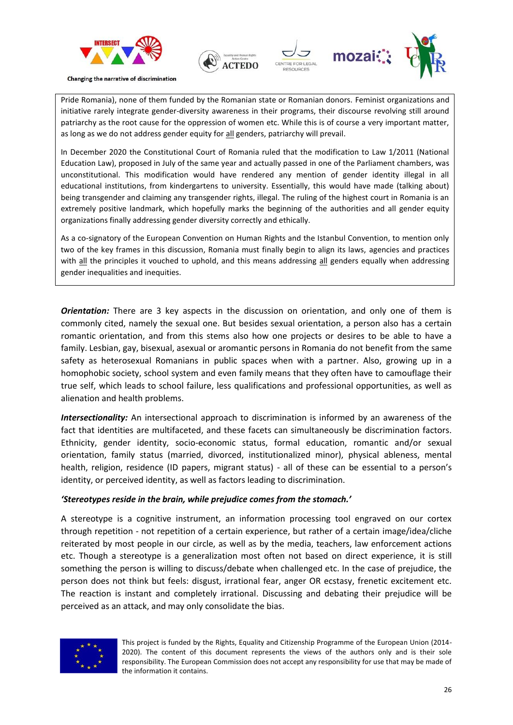



Pride Romania), none of them funded by the Romanian state or Romanian donors. Feminist organizations and initiative rarely integrate gender-diversity awareness in their programs, their discourse revolving still around patriarchy as the root cause for the oppression of women etc. While this is of course a very important matter, as long as we do not address gender equity for all genders, patriarchy will prevail.

In December 2020 the Constitutional Court of Romania ruled that the modification to Law 1/2011 (National Education Law), proposed in July of the same year and actually passed in one of the Parliament chambers, was unconstitutional. This modification would have rendered any mention of gender identity illegal in all educational institutions, from kindergartens to university. Essentially, this would have made (talking about) being transgender and claiming any transgender rights, illegal. The ruling of the highest court in Romania is an extremely positive landmark, which hopefully marks the beginning of the authorities and all gender equity organizations finally addressing gender diversity correctly and ethically.

As a co-signatory of the European Convention on Human Rights and the Istanbul Convention, to mention only two of the key frames in this discussion, Romania must finally begin to align its laws, agencies and practices with all the principles it vouched to uphold, and this means addressing all genders equally when addressing gender inequalities and inequities.

**Orientation:** There are 3 key aspects in the discussion on orientation, and only one of them is commonly cited, namely the sexual one. But besides sexual orientation, a person also has a certain romantic orientation, and from this stems also how one projects or desires to be able to have a family. Lesbian, gay, bisexual, asexual or aromantic persons in Romania do not benefit from the same safety as heterosexual Romanians in public spaces when with a partner. Also, growing up in a homophobic society, school system and even family means that they often have to camouflage their true self, which leads to school failure, less qualifications and professional opportunities, as well as alienation and health problems.

*Intersectionality:* An intersectional approach to discrimination is informed by an awareness of the fact that identities are multifaceted, and these facets can simultaneously be discrimination factors. Ethnicity, gender identity, socio-economic status, formal education, romantic and/or sexual orientation, family status (married, divorced, institutionalized minor), physical ableness, mental health, religion, residence (ID papers, migrant status) - all of these can be essential to a person's identity, or perceived identity, as well as factors leading to discrimination.

#### *'Stereotypes reside in the brain, while prejudice comes from the stomach.'*

A stereotype is a cognitive instrument, an information processing tool engraved on our cortex through repetition - not repetition of a certain experience, but rather of a certain image/idea/cliche reiterated by most people in our circle, as well as by the media, teachers, law enforcement actions etc. Though a stereotype is a generalization most often not based on direct experience, it is still something the person is willing to discuss/debate when challenged etc. In the case of prejudice, the person does not think but feels: disgust, irrational fear, anger OR ecstasy, frenetic excitement etc. The reaction is instant and completely irrational. Discussing and debating their prejudice will be perceived as an attack, and may only consolidate the bias.



This project is funded by the Rights, Equality and Citizenship Programme of the European Union (2014- 2020). The content of this document represents the views of the authors only and is their sole responsibility. The European Commission does not accept any responsibility for use that may be made of the information it contains.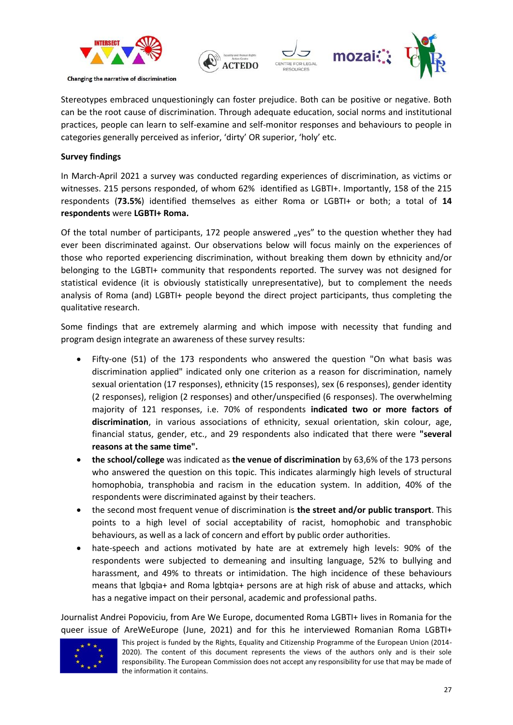



Stereotypes embraced unquestioningly can foster prejudice. Both can be positive or negative. Both can be the root cause of discrimination. Through adequate education, social norms and institutional practices, people can learn to self-examine and self-monitor responses and behaviours to people in categories generally perceived as inferior, 'dirty' OR superior, 'holy' etc.

### **Survey findings**

In March-April 2021 a survey was conducted regarding experiences of discrimination, as victims or witnesses. 215 persons responded, of whom 62% identified as LGBTI+. Importantly, 158 of the 215 respondents (**73.5%**) identified themselves as either Roma or LGBTI+ or both; a total of **14 respondents** were **LGBTI+ Roma.**

Of the total number of participants, 172 people answered "yes" to the question whether they had ever been discriminated against. Our observations below will focus mainly on the experiences of those who reported experiencing discrimination, without breaking them down by ethnicity and/or belonging to the LGBTI+ community that respondents reported. The survey was not designed for statistical evidence (it is obviously statistically unrepresentative), but to complement the needs analysis of Roma (and) LGBTI+ people beyond the direct project participants, thus completing the qualitative research.

Some findings that are extremely alarming and which impose with necessity that funding and program design integrate an awareness of these survey results:

- Fifty-one (51) of the 173 respondents who answered the question "On what basis was discrimination applied" indicated only one criterion as a reason for discrimination, namely sexual orientation (17 responses), ethnicity (15 responses), sex (6 responses), gender identity (2 responses), religion (2 responses) and other/unspecified (6 responses). The overwhelming majority of 121 responses, i.e. 70% of respondents **indicated two or more factors of discrimination**, in various associations of ethnicity, sexual orientation, skin colour, age, financial status, gender, etc., and 29 respondents also indicated that there were **"several reasons at the same time".**
- **the school/college** was indicated as **the venue of discrimination** by 63,6% of the 173 persons who answered the question on this topic. This indicates alarmingly high levels of structural homophobia, transphobia and racism in the education system. In addition, 40% of the respondents were discriminated against by their teachers.
- the second most frequent venue of discrimination is **the street and/or public transport**. This points to a high level of social acceptability of racist, homophobic and transphobic behaviours, as well as a lack of concern and effort by public order authorities.
- hate-speech and actions motivated by hate are at extremely high levels: 90% of the respondents were subjected to demeaning and insulting language, 52% to bullying and harassment, and 49% to threats or intimidation. The high incidence of these behaviours means that lgbqia+ and Roma lgbtqia+ persons are at high risk of abuse and attacks, which has a negative impact on their personal, academic and professional paths.

Journalist Andrei Popoviciu, from Are We Europe, documented Roma LGBTI+ lives in Romania for the queer issue of AreWeEurope (June, 2021) and for this he interviewed Romanian Roma LGBTI+



This project is funded by the Rights, Equality and Citizenship Programme of the European Union (2014- 2020). The content of this document represents the views of the authors only and is their sole responsibility. The European Commission does not accept any responsibility for use that may be made of the information it contains.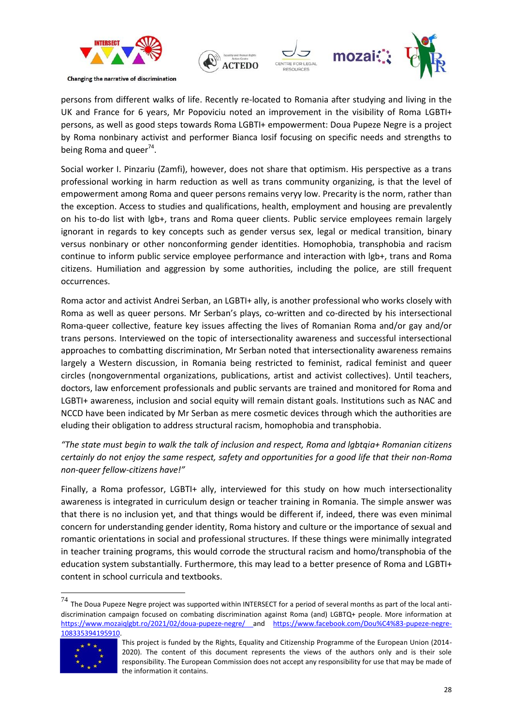![](_page_27_Picture_0.jpeg)

![](_page_27_Picture_1.jpeg)

persons from different walks of life. Recently re-located to Romania after studying and living in the UK and France for 6 years, Mr Popoviciu noted an improvement in the visibility of Roma LGBTI+ persons, as well as good steps towards Roma LGBTI+ empowerment: Doua Pupeze Negre is a project by Roma nonbinary activist and performer Bianca Iosif focusing on specific needs and strengths to being Roma and queer<sup>74</sup>.

Social worker I. Pinzariu (Zamfi), however, does not share that optimism. His perspective as a trans professional working in harm reduction as well as trans community organizing, is that the level of empowerment among Roma and queer persons remains veryy low. Precarity is the norm, rather than the exception. Access to studies and qualifications, health, employment and housing are prevalently on his to-do list with lgb+, trans and Roma queer clients. Public service employees remain largely ignorant in regards to key concepts such as gender versus sex, legal or medical transition, binary versus nonbinary or other nonconforming gender identities. Homophobia, transphobia and racism continue to inform public service employee performance and interaction with lgb+, trans and Roma citizens. Humiliation and aggression by some authorities, including the police, are still frequent occurrences.

Roma actor and activist Andrei Serban, an LGBTI+ ally, is another professional who works closely with Roma as well as queer persons. Mr Serban's plays, co-written and co-directed by his intersectional Roma-queer collective, feature key issues affecting the lives of Romanian Roma and/or gay and/or trans persons. Interviewed on the topic of intersectionality awareness and successful intersectional approaches to combatting discrimination, Mr Serban noted that intersectionality awareness remains largely a Western discussion, in Romania being restricted to feminist, radical feminist and queer circles (nongovernmental organizations, publications, artist and activist collectives). Until teachers, doctors, law enforcement professionals and public servants are trained and monitored for Roma and LGBTI+ awareness, inclusion and social equity will remain distant goals. Institutions such as NAC and NCCD have been indicated by Mr Serban as mere cosmetic devices through which the authorities are eluding their obligation to address structural racism, homophobia and transphobia.

*"The state must begin to walk the talk of inclusion and respect, Roma and lgbtqia+ Romanian citizens certainly do not enjoy the same respect, safety and opportunities for a good life that their non-Roma non-queer fellow-citizens have!"*

Finally, a Roma professor, LGBTI+ ally, interviewed for this study on how much intersectionality awareness is integrated in curriculum design or teacher training in Romania. The simple answer was that there is no inclusion yet, and that things would be different if, indeed, there was even minimal concern for understanding gender identity, Roma history and culture or the importance of sexual and romantic orientations in social and professional structures. If these things were minimally integrated in teacher training programs, this would corrode the structural racism and homo/transphobia of the education system substantially. Furthermore, this may lead to a better presence of Roma and LGBTI+ content in school curricula and textbooks.

 $^{74}$  The Doua Pupeze Negre project was supported within INTERSECT for a period of several months as part of the local antidiscrimination campaign focused on combating discrimination against Roma (and) LGBTQ+ people. More information at <https://www.mozaiqlgbt.ro/2021/02/doua-pupeze-negre/> and [https://www.facebook.com/Dou%C4%83-pupeze-negre-](https://www.facebook.com/Dou%C4%83-pupeze-negre-108335394195910)[108335394195910.](https://www.facebook.com/Dou%C4%83-pupeze-negre-108335394195910)

![](_page_27_Picture_8.jpeg)

 $\overline{\phantom{a}}$ 

This project is funded by the Rights, Equality and Citizenship Programme of the European Union (2014- 2020). The content of this document represents the views of the authors only and is their sole responsibility. The European Commission does not accept any responsibility for use that may be made of the information it contains.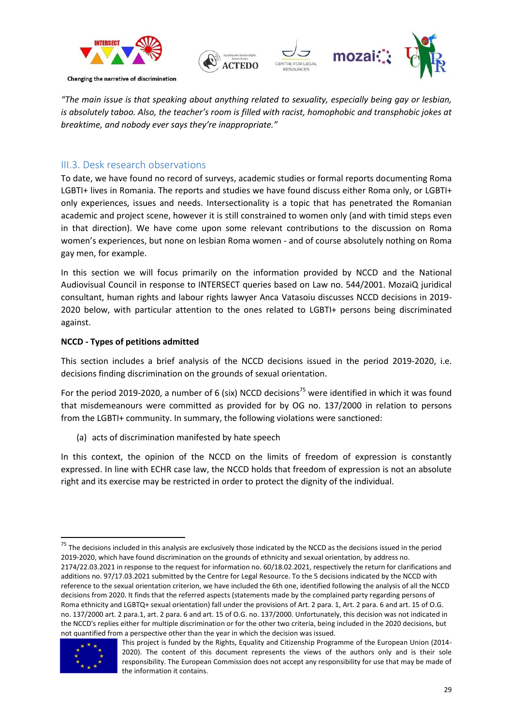![](_page_28_Picture_0.jpeg)

![](_page_28_Picture_1.jpeg)

*"The main issue is that speaking about anything related to sexuality, especially being gay or lesbian, is absolutely taboo. Also, the teacher's room is filled with racist, homophobic and transphobic jokes at breaktime, and nobody ever says they're inappropriate."*

### <span id="page-28-0"></span>III.3. Desk research observations

To date, we have found no record of surveys, academic studies or formal reports documenting Roma LGBTI+ lives in Romania. The reports and studies we have found discuss either Roma only, or LGBTI+ only experiences, issues and needs. Intersectionality is a topic that has penetrated the Romanian academic and project scene, however it is still constrained to women only (and with timid steps even in that direction). We have come upon some relevant contributions to the discussion on Roma women's experiences, but none on lesbian Roma women - and of course absolutely nothing on Roma gay men, for example.

In this section we will focus primarily on the information provided by NCCD and the National Audiovisual Council in response to INTERSECT queries based on Law no. 544/2001. MozaiQ juridical consultant, human rights and labour rights lawyer Anca Vatasoiu discusses NCCD decisions in 2019- 2020 below, with particular attention to the ones related to LGBTI+ persons being discriminated against.

### **NCCD - Types of petitions admitted**

This section includes a brief analysis of the NCCD decisions issued in the period 2019-2020, i.e. decisions finding discrimination on the grounds of sexual orientation.

For the period 2019-2020, a number of 6 (six) NCCD decisions<sup>75</sup> were identified in which it was found that misdemeanours were committed as provided for by OG no. 137/2000 in relation to persons from the LGBTI+ community. In summary, the following violations were sanctioned:

(a) acts of discrimination manifested by hate speech

In this context, the opinion of the NCCD on the limits of freedom of expression is constantly expressed. In line with ECHR case law, the NCCD holds that freedom of expression is not an absolute right and its exercise may be restricted in order to protect the dignity of the individual.

**<sup>.</sup>**  $75$  The decisions included in this analysis are exclusively those indicated by the NCCD as the decisions issued in the period 2019-2020, which have found discrimination on the grounds of ethnicity and sexual orientation, by address no. 2174/22.03.2021 in response to the request for information no. 60/18.02.2021, respectively the return for clarifications and additions no. 97/17.03.2021 submitted by the Centre for Legal Resource. To the 5 decisions indicated by the NCCD with reference to the sexual orientation criterion, we have included the 6th one, identified following the analysis of all the NCCD decisions from 2020. It finds that the referred aspects (statements made by the complained party regarding persons of Roma ethnicity and LGBTQ+ sexual orientation) fall under the provisions of Art. 2 para. 1, Art. 2 para. 6 and art. 15 of O.G. no. 137/2000 art. 2 para.1, art. 2 para. 6 and art. 15 of O.G. no. 137/2000. Unfortunately, this decision was not indicated in the NCCD's replies either for multiple discrimination or for the other two criteria, being included in the 2020 decisions, but not quantified from a perspective other than the year in which the decision was issued.

![](_page_28_Picture_12.jpeg)

This project is funded by the Rights, Equality and Citizenship Programme of the European Union (2014- 2020). The content of this document represents the views of the authors only and is their sole responsibility. The European Commission does not accept any responsibility for use that may be made of the information it contains.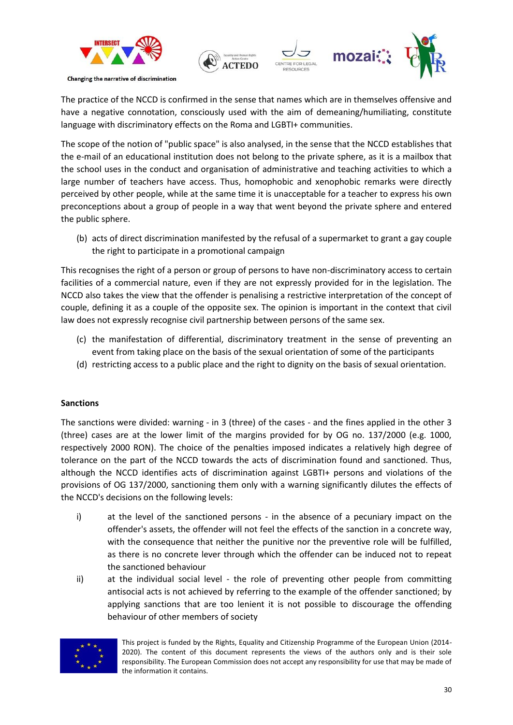![](_page_29_Picture_0.jpeg)

The practice of the NCCD is confirmed in the sense that names which are in themselves offensive and have a negative connotation, consciously used with the aim of demeaning/humiliating, constitute language with discriminatory effects on the Roma and LGBTI+ communities.

The scope of the notion of "public space" is also analysed, in the sense that the NCCD establishes that the e-mail of an educational institution does not belong to the private sphere, as it is a mailbox that the school uses in the conduct and organisation of administrative and teaching activities to which a large number of teachers have access. Thus, homophobic and xenophobic remarks were directly perceived by other people, while at the same time it is unacceptable for a teacher to express his own preconceptions about a group of people in a way that went beyond the private sphere and entered the public sphere.

(b) acts of direct discrimination manifested by the refusal of a supermarket to grant a gay couple the right to participate in a promotional campaign

This recognises the right of a person or group of persons to have non-discriminatory access to certain facilities of a commercial nature, even if they are not expressly provided for in the legislation. The NCCD also takes the view that the offender is penalising a restrictive interpretation of the concept of couple, defining it as a couple of the opposite sex. The opinion is important in the context that civil law does not expressly recognise civil partnership between persons of the same sex.

- (c) the manifestation of differential, discriminatory treatment in the sense of preventing an event from taking place on the basis of the sexual orientation of some of the participants
- (d) restricting access to a public place and the right to dignity on the basis of sexual orientation.

### **Sanctions**

The sanctions were divided: warning - in 3 (three) of the cases - and the fines applied in the other 3 (three) cases are at the lower limit of the margins provided for by OG no. 137/2000 (e.g. 1000, respectively 2000 RON). The choice of the penalties imposed indicates a relatively high degree of tolerance on the part of the NCCD towards the acts of discrimination found and sanctioned. Thus, although the NCCD identifies acts of discrimination against LGBTI+ persons and violations of the provisions of OG 137/2000, sanctioning them only with a warning significantly dilutes the effects of the NCCD's decisions on the following levels:

- i) at the level of the sanctioned persons in the absence of a pecuniary impact on the offender's assets, the offender will not feel the effects of the sanction in a concrete way, with the consequence that neither the punitive nor the preventive role will be fulfilled, as there is no concrete lever through which the offender can be induced not to repeat the sanctioned behaviour
- ii) at the individual social level the role of preventing other people from committing antisocial acts is not achieved by referring to the example of the offender sanctioned; by applying sanctions that are too lenient it is not possible to discourage the offending behaviour of other members of society

![](_page_29_Picture_11.jpeg)

This project is funded by the Rights, Equality and Citizenship Programme of the European Union (2014- 2020). The content of this document represents the views of the authors only and is their sole responsibility. The European Commission does not accept any responsibility for use that may be made of the information it contains.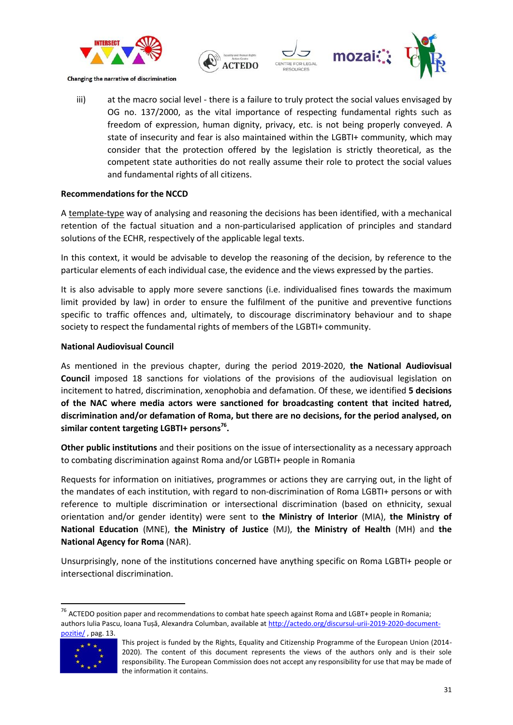![](_page_30_Picture_0.jpeg)

![](_page_30_Picture_1.jpeg)

iii) at the macro social level - there is a failure to truly protect the social values envisaged by OG no. 137/2000, as the vital importance of respecting fundamental rights such as freedom of expression, human dignity, privacy, etc. is not being properly conveyed. A state of insecurity and fear is also maintained within the LGBTI+ community, which may consider that the protection offered by the legislation is strictly theoretical, as the competent state authorities do not really assume their role to protect the social values and fundamental rights of all citizens.

### **Recommendations for the NCCD**

A template-type way of analysing and reasoning the decisions has been identified, with a mechanical retention of the factual situation and a non-particularised application of principles and standard solutions of the ECHR, respectively of the applicable legal texts.

In this context, it would be advisable to develop the reasoning of the decision, by reference to the particular elements of each individual case, the evidence and the views expressed by the parties.

It is also advisable to apply more severe sanctions (i.e. individualised fines towards the maximum limit provided by law) in order to ensure the fulfilment of the punitive and preventive functions specific to traffic offences and, ultimately, to discourage discriminatory behaviour and to shape society to respect the fundamental rights of members of the LGBTI+ community.

### **National Audiovisual Council**

As mentioned in the previous chapter, during the period 2019-2020, **the National Audiovisual Council** imposed 18 sanctions for violations of the provisions of the audiovisual legislation on incitement to hatred, discrimination, xenophobia and defamation. Of these, we identified **5 decisions of the NAC where media actors were sanctioned for broadcasting content that incited hatred, discrimination and/or defamation of Roma, but there are no decisions, for the period analysed, on similar content targeting LGBTI+ persons<sup>76</sup> .**

**Other public institutions** and their positions on the issue of intersectionality as a necessary approach to combating discrimination against Roma and/or LGBTI+ people in Romania

Requests for information on initiatives, programmes or actions they are carrying out, in the light of the mandates of each institution, with regard to non-discrimination of Roma LGBTI+ persons or with reference to multiple discrimination or intersectional discrimination (based on ethnicity, sexual orientation and/or gender identity) were sent to **the Ministry of Interior** (MIA), **the Ministry of National Education** (MNE), **the Ministry of Justice** (MJ), **the Ministry of Health** (MH) and **the National Agency for Roma** (NAR).

Unsurprisingly, none of the institutions concerned have anything specific on Roma LGBTI+ people or intersectional discrimination.

<sup>&</sup>lt;sup>76</sup> ACTEDO position paper and recommendations to combat hate speech against Roma and LGBT+ people in Romania; authors Iulia Pascu, Ioana Tușă, Alexandra Columban, available at [http://actedo.org/discursul-urii-2019-2020-document](http://actedo.org/discursul-urii-2019-2020-document-pozitie/)[pozitie/](http://actedo.org/discursul-urii-2019-2020-document-pozitie/), pag. 13.

![](_page_30_Picture_13.jpeg)

This project is funded by the Rights, Equality and Citizenship Programme of the European Union (2014- 2020). The content of this document represents the views of the authors only and is their sole responsibility. The European Commission does not accept any responsibility for use that may be made of the information it contains.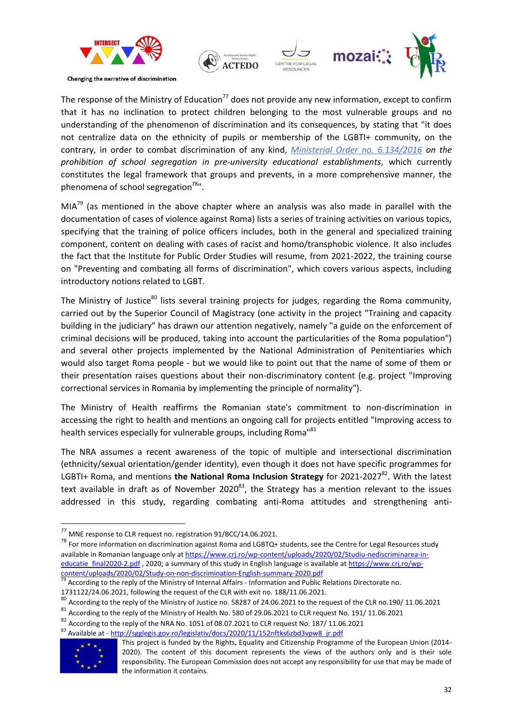![](_page_31_Picture_0.jpeg)

![](_page_31_Picture_1.jpeg)

The response of the Ministry of Education<sup>77</sup> does not provide any new information, except to confirm that it has no inclination to protect children belonging to the most vulnerable groups and no understanding of the phenomenon of discrimination and its consequences, by stating that "it does not centralize data on the ethnicity of pupils or membership of the LGBTI+ community, on the contrary, in order to combat discrimination of any kind, *Ministerial Order no. 6.134/2016 on the prohibition of school segregation in pre-university educational establishments*, which currently constitutes the legal framework that groups and prevents, in a more comprehensive manner, the phenomena of school segregation $78$ ".

 $MIA^{79}$  (as mentioned in the above chapter where an analysis was also made in parallel with the documentation of cases of violence against Roma) lists a series of training activities on various topics, specifying that the training of police officers includes, both in the general and specialized training component, content on dealing with cases of racist and homo/transphobic violence. It also includes the fact that the Institute for Public Order Studies will resume, from 2021-2022, the training course on "Preventing and combating all forms of discrimination", which covers various aspects, including introductory notions related to LGBT.

The Ministry of Justice<sup>80</sup> lists several training projects for judges, regarding the Roma community, carried out by the Superior Council of Magistracy (one activity in the project "Training and capacity building in the judiciary" has drawn our attention negatively, namely "a guide on the enforcement of criminal decisions will be produced, taking into account the particularities of the Roma population") and several other projects implemented by the National Administration of Penitentiaries which would also target Roma people - but we would like to point out that the name of some of them or their presentation raises questions about their non-discriminatory content (e.g. project "Improving correctional services in Romania by implementing the principle of normality").

The Ministry of Health reaffirms the Romanian state's commitment to non-discrimination in accessing the right to health and mentions an ongoing call for projects entitled "Improving access to health services especially for vulnerable groups, including Roma<sup>181</sup>

The NRA assumes a recent awareness of the topic of multiple and intersectional discrimination (ethnicity/sexual orientation/gender identity), even though it does not have specific programmes for LGBTI+ Roma, and mentions **the National Roma Inclusion Strategy** for 2021-2027<sup>82</sup>. With the latest text available in draft as of November 2020 $^{83}$ , the Strategy has a mention relevant to the issues addressed in this study, regarding combating anti-Roma attitudes and strengthening anti-

1731122/24.06.2021, following the request of the CLR with exit no. 188/11.06.2021.

<sup>&</sup>lt;sup>82</sup> According to the reply of the NRA No. 1051 of 08.07.2021 to CLR request No. 187/ 11.06.2021 83 Available at - [http://sgglegis.gov.ro/legislativ/docs/2020/11/152nftks6zbd3vpw8\\_jr.pdf](http://sgglegis.gov.ro/legislativ/docs/2020/11/152nftks6zbd3vpw8_jr.pdf)

![](_page_31_Picture_14.jpeg)

 $\overline{\phantom{a}}$ 

 $^{77}$  MNE response to CLR request no. registration 91/BCC/14.06.2021.

<sup>&</sup>lt;sup>78</sup> For more information on discrimination against Roma and LGBTQ+ students, see the Centre for Legal Resources study available in Romanian language only a[t https://www.crj.ro/wp-content/uploads/2020/02/Studiu-nediscriminarea-in](https://www.crj.ro/wp-content/uploads/2020/02/Studiu-nediscriminarea-in-educatie_final2020-2.pdf)[educatie\\_final2020-2.pdf](https://www.crj.ro/wp-content/uploads/2020/02/Studiu-nediscriminarea-in-educatie_final2020-2.pdf), 2020; a summary of this study in English language is available a[t https://www.crj.ro/wp](https://www.crj.ro/wp-content/uploads/2020/02/Study-on-non-discrimination-English-summary-2020.pdf)[content/uploads/2020/02/Study-on-non-discrimination-English-summary-2020.pdf](https://www.crj.ro/wp-content/uploads/2020/02/Study-on-non-discrimination-English-summary-2020.pdf)

According to the reply of the Ministry of Internal Affairs - Information and Public Relations Directorate no.

 $80$  According to the reply of the Ministry of Justice no. 58287 of 24.06.2021 to the request of the CLR no.190/ 11.06.2021

<sup>81</sup> According to the reply of the Ministry of Health No. 580 of 29.06.2021 to CLR request No. 191/ 11.06.2021

This project is funded by the Rights, Equality and Citizenship Programme of the European Union (2014- 2020). The content of this document represents the views of the authors only and is their sole responsibility. The European Commission does not accept any responsibility for use that may be made of the information it contains.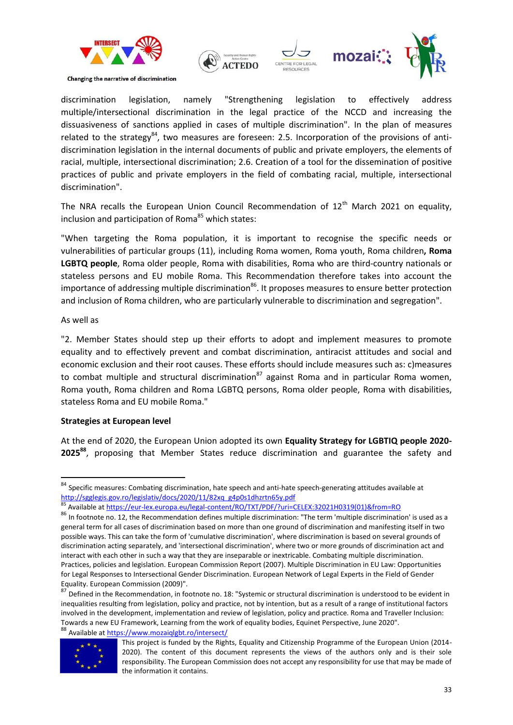![](_page_32_Picture_0.jpeg)

discrimination legislation, namely "Strengthening legislation to effectively address multiple/intersectional discrimination in the legal practice of the NCCD and increasing the dissuasiveness of sanctions applied in cases of multiple discrimination". In the plan of measures related to the strategy<sup>84</sup>, two measures are foreseen: 2.5. Incorporation of the provisions of antidiscrimination legislation in the internal documents of public and private employers, the elements of racial, multiple, intersectional discrimination; 2.6. Creation of a tool for the dissemination of positive practices of public and private employers in the field of combating racial, multiple, intersectional discrimination".

The NRA recalls the European Union Council Recommendation of  $12<sup>th</sup>$  March 2021 on equality, inclusion and participation of Roma<sup>85</sup> which states:

"When targeting the Roma population, it is important to recognise the specific needs or vulnerabilities of particular groups (11), including Roma women, Roma youth, Roma children**, Roma LGBTQ people**, Roma older people, Roma with disabilities, Roma who are third-country nationals or stateless persons and EU mobile Roma. This Recommendation therefore takes into account the importance of addressing multiple discrimination<sup>86</sup>. It proposes measures to ensure better protection and inclusion of Roma children, who are particularly vulnerable to discrimination and segregation".

### As well as

1

"2. Member States should step up their efforts to adopt and implement measures to promote equality and to effectively prevent and combat discrimination, antiracist attitudes and social and economic exclusion and their root causes. These efforts should include measures such as: c)measures to combat multiple and structural discrimination<sup>87</sup> against Roma and in particular Roma women, Roma youth, Roma children and Roma LGBTQ persons, Roma older people, Roma with disabilities, stateless Roma and EU mobile Roma."

### **Strategies at European level**

At the end of 2020, the European Union adopted its own **Equality Strategy for LGBTIQ people 2020- 2025<sup>88</sup>**, proposing that Member States reduce discrimination and guarantee the safety and

equality: Late pear commission (2000)<br><sup>87</sup> Defined in the Recommendation, in footnote no. 18: "Systemic or structural discrimination is understood to be evident in inequalities resulting from legislation, policy and practice, not by intention, but as a result of a range of institutional factors involved in the development, implementation and review of legislation, policy and practice. Roma and Traveller Inclusion: Towards a new EU Framework, Learning from the work of equality bodies, Equinet Perspective, June 2020". 88 Available a[t https://www.mozaiqlgbt.ro/intersect/](https://www.mozaiqlgbt.ro/intersect/)

![](_page_32_Picture_12.jpeg)

This project is funded by the Rights, Equality and Citizenship Programme of the European Union (2014- 2020). The content of this document represents the views of the authors only and is their sole responsibility. The European Commission does not accept any responsibility for use that may be made of the information it contains.

<sup>&</sup>lt;sup>84</sup> Specific measures: Combating discrimination, hate speech and anti-hate speech-generating attitudes available at [http://sgglegis.gov.ro/legislativ/docs/2020/11/82xq\\_g4p0s1dhzrtn65y.pdf](http://sgglegis.gov.ro/legislativ/docs/2020/11/82xq_g4p0s1dhzrtn65y.pdf)<br>85 Aveilable - William Corp.

<sup>85</sup> Available a[t https://eur-lex.europa.eu/legal-content/RO/TXT/PDF/?uri=CELEX:32021H0319\(01\)&from=RO](https://eur-lex.europa.eu/legal-content/RO/TXT/PDF/?uri=CELEX:32021H0319(01)&from=RO)

<sup>86</sup> In footnote no. 12, the Recommendation defines multiple discrimination: "The term 'multiple discrimination' is used as a general term for all cases of discrimination based on more than one ground of discrimination and manifesting itself in two possible ways. This can take the form of 'cumulative discrimination', where discrimination is based on several grounds of discrimination acting separately, and 'intersectional discrimination', where two or more grounds of discrimination act and interact with each other in such a way that they are inseparable or inextricable. Combating multiple discrimination. Practices, policies and legislation. European Commission Report (2007). Multiple Discrimination in EU Law: Opportunities for Legal Responses to Intersectional Gender Discrimination. European Network of Legal Experts in the Field of Gender Equality. European Commission (2009)".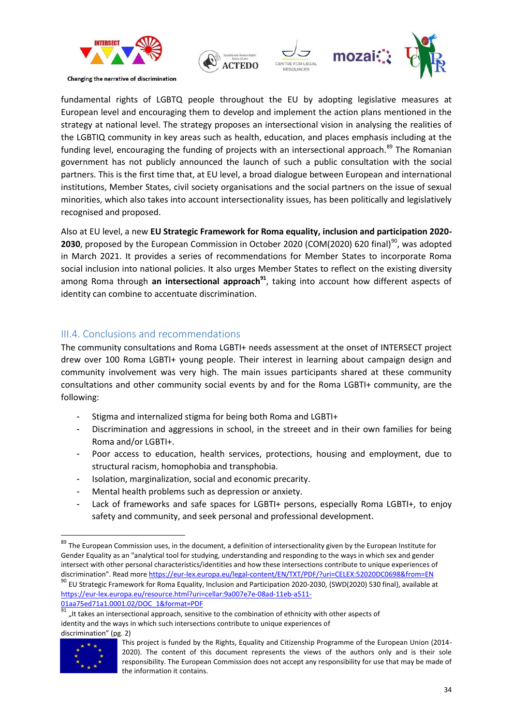![](_page_33_Picture_0.jpeg)

![](_page_33_Picture_1.jpeg)

fundamental rights of LGBTQ people throughout the EU by adopting legislative measures at European level and encouraging them to develop and implement the action plans mentioned in the strategy at national level. The strategy proposes an intersectional vision in analysing the realities of the LGBTIQ community in key areas such as health, education, and places emphasis including at the funding level, encouraging the funding of projects with an intersectional approach.<sup>89</sup> The Romanian government has not publicly announced the launch of such a public consultation with the social partners. This is the first time that, at EU level, a broad dialogue between European and international institutions, Member States, civil society organisations and the social partners on the issue of sexual minorities, which also takes into account intersectionality issues, has been politically and legislatively recognised and proposed.

Also at EU level, a new **EU Strategic Framework for Roma equality, inclusion and participation 2020- 2030**, proposed by the European Commission in October 2020 (COM(2020) 620 final)<sup>90</sup>, was adopted in March 2021. It provides a series of recommendations for Member States to incorporate Roma social inclusion into national policies. It also urges Member States to reflect on the existing diversity among Roma through **an intersectional approach<sup>91</sup>**, taking into account how different aspects of identity can combine to accentuate discrimination.

### <span id="page-33-0"></span>III.4. Conclusions and recommendations

The community consultations and Roma LGBTI+ needs assessment at the onset of INTERSECT project drew over 100 Roma LGBTI+ young people. Their interest in learning about campaign design and community involvement was very high. The main issues participants shared at these community consultations and other community social events by and for the Roma LGBTI+ community, are the following:

- Stigma and internalized stigma for being both Roma and LGBTI+
- Discrimination and aggressions in school, in the streeet and in their own families for being Roma and/or LGBTI+.
- Poor access to education, health services, protections, housing and employment, due to structural racism, homophobia and transphobia.
- Isolation, marginalization, social and economic precarity.
- Mental health problems such as depression or anxiety.
- Lack of frameworks and safe spaces for LGBTI+ persons, especially Roma LGBTI+, to enjoy safety and community, and seek personal and professional development.

[01aa75ed71a1.0001.02/DOC\\_1&format=PDF](https://eur-lex.europa.eu/resource.html?uri=cellar:9a007e7e-08ad-11eb-a511-01aa75ed71a1.0001.02/DOC_1&format=PDF)

<sup>&</sup>quot;It takes an intersectional approach, sensitive to the combination of ethnicity with other aspects of identity and the ways in which such intersections contribute to unique experiences of discrimination" (pg. 2)

![](_page_33_Picture_15.jpeg)

1

<sup>&</sup>lt;sup>89</sup> The European Commission uses, in the document, a definition of intersectionality given by the European Institute for Gender Equality as an "analytical tool for studying, understanding and responding to the ways in which sex and gender intersect with other personal characteristics/identities and how these intersections contribute to unique experiences of discrimination". Read more <https://eur-lex.europa.eu/legal-content/EN/TXT/PDF/?uri=CELEX:52020DC0698&from=EN> <sup>90</sup> EU Strategic Framework for Roma Equality, Inclusion and Participation 2020-2030, {SWD(2020) 530 final}, available at [https://eur-lex.europa.eu/resource.html?uri=cellar:9a007e7e-08ad-11eb-a511-](https://eur-lex.europa.eu/resource.html?uri=cellar:9a007e7e-08ad-11eb-a511-01aa75ed71a1.0001.02/DOC_1&format=PDF)

This project is funded by the Rights, Equality and Citizenship Programme of the European Union (2014- 2020). The content of this document represents the views of the authors only and is their sole responsibility. The European Commission does not accept any responsibility for use that may be made of the information it contains.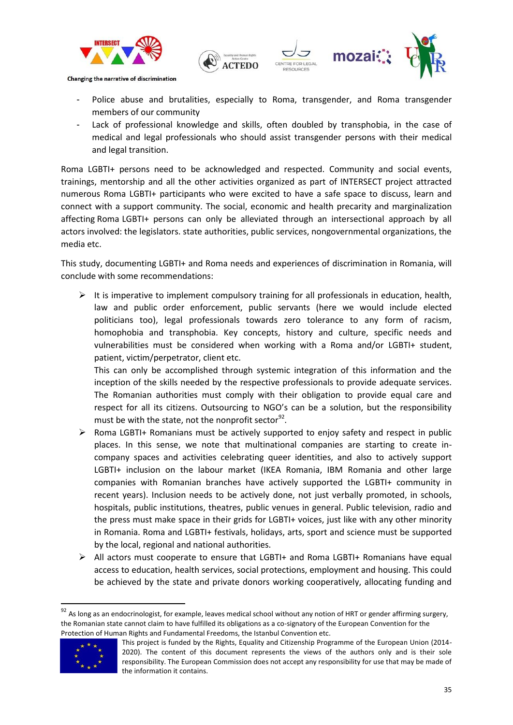![](_page_34_Picture_0.jpeg)

![](_page_34_Picture_1.jpeg)

- Police abuse and brutalities, especially to Roma, transgender, and Roma transgender members of our community
- Lack of professional knowledge and skills, often doubled by transphobia, in the case of medical and legal professionals who should assist transgender persons with their medical and legal transition.

Roma LGBTI+ persons need to be acknowledged and respected. Community and social events, trainings, mentorship and all the other activities organized as part of INTERSECT project attracted numerous Roma LGBTI+ participants who were excited to have a safe space to discuss, learn and connect with a support community. The social, economic and health precarity and marginalization affecting Roma LGBTI+ persons can only be alleviated through an intersectional approach by all actors involved: the legislators. state authorities, public services, nongovernmental organizations, the media etc.

This study, documenting LGBTI+ and Roma needs and experiences of discrimination in Romania, will conclude with some recommendations:

 $\triangleright$  It is imperative to implement compulsory training for all professionals in education, health, law and public order enforcement, public servants (here we would include elected politicians too), legal professionals towards zero tolerance to any form of racism, homophobia and transphobia. Key concepts, history and culture, specific needs and vulnerabilities must be considered when working with a Roma and/or LGBTI+ student, patient, victim/perpetrator, client etc.

This can only be accomplished through systemic integration of this information and the inception of the skills needed by the respective professionals to provide adequate services. The Romanian authorities must comply with their obligation to provide equal care and respect for all its citizens. Outsourcing to NGO's can be a solution, but the responsibility must be with the state, not the nonprofit sector<sup>92</sup>.

- $\triangleright$  Roma LGBTI+ Romanians must be actively supported to enjoy safety and respect in public places. In this sense, we note that multinational companies are starting to create incompany spaces and activities celebrating queer identities, and also to actively support LGBTI+ inclusion on the labour market (IKEA Romania, IBM Romania and other large companies with Romanian branches have actively supported the LGBTI+ community in recent years). Inclusion needs to be actively done, not just verbally promoted, in schools, hospitals, public institutions, theatres, public venues in general. Public television, radio and the press must make space in their grids for LGBTI+ voices, just like with any other minority in Romania. Roma and LGBTI+ festivals, holidays, arts, sport and science must be supported by the local, regional and national authorities.
- $\triangleright$  All actors must cooperate to ensure that LGBTI+ and Roma LGBTI+ Romanians have equal access to education, health services, social protections, employment and housing. This could be achieved by the state and private donors working cooperatively, allocating funding and

 $^{92}$  As long as an endocrinologist, for example, leaves medical school without any notion of HRT or gender affirming surgery, the Romanian state cannot claim to have fulfilled its obligations as a co-signatory of the European Convention for the Protection of Human Rights and Fundamental Freedoms, the Istanbul Convention etc.

![](_page_34_Picture_11.jpeg)

This project is funded by the Rights, Equality and Citizenship Programme of the European Union (2014- 2020). The content of this document represents the views of the authors only and is their sole responsibility. The European Commission does not accept any responsibility for use that may be made of the information it contains.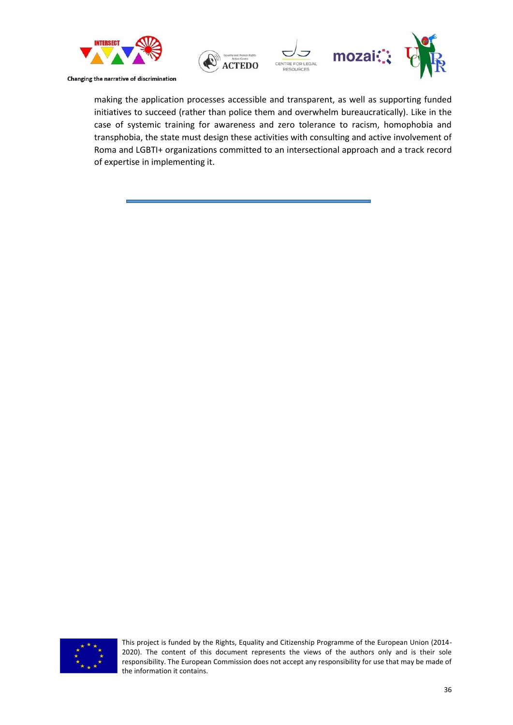![](_page_35_Picture_0.jpeg)

![](_page_35_Picture_1.jpeg)

making the application processes accessible and transparent, as well as supporting funded initiatives to succeed (rather than police them and overwhelm bureaucratically). Like in the case of systemic training for awareness and zero tolerance to racism, homophobia and transphobia, the state must design these activities with consulting and active involvement of Roma and LGBTI+ organizations committed to an intersectional approach and a track record of expertise in implementing it.

![](_page_35_Picture_3.jpeg)

This project is funded by the Rights, Equality and Citizenship Programme of the European Union (2014- 2020). The content of this document represents the views of the authors only and is their sole responsibility. The European Commission does not accept any responsibility for use that may be made of the information it contains.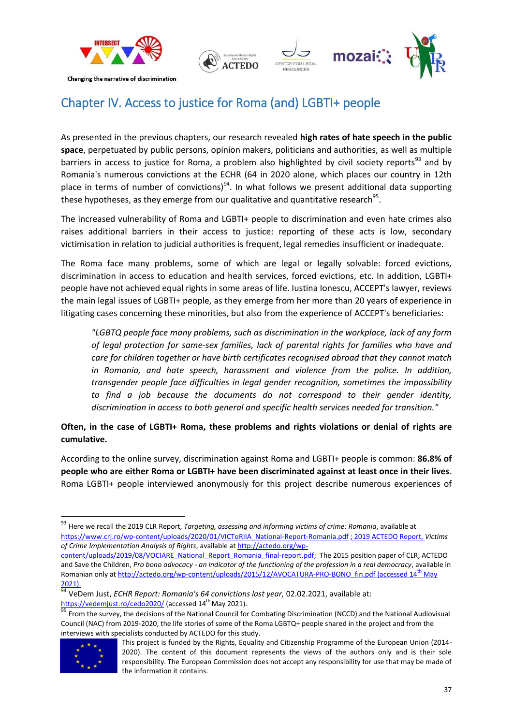![](_page_36_Picture_0.jpeg)

![](_page_36_Picture_1.jpeg)

# <span id="page-36-0"></span>Chapter IV. Access to justice for Roma (and) LGBTI+ people

As presented in the previous chapters, our research revealed **high rates of hate speech in the public space**, perpetuated by public persons, opinion makers, politicians and authorities, as well as multiple barriers in access to justice for Roma, a problem also highlighted by civil society reports<sup>93</sup> and by Romania's numerous convictions at the ECHR (64 in 2020 alone, which places our country in 12th place in terms of number of convictions)<sup>94</sup>. In what follows we present additional data supporting these hypotheses, as they emerge from our qualitative and quantitative research<sup>95</sup>.

The increased vulnerability of Roma and LGBTI+ people to discrimination and even hate crimes also raises additional barriers in their access to justice: reporting of these acts is low, secondary victimisation in relation to judicial authorities is frequent, legal remedies insufficient or inadequate.

The Roma face many problems, some of which are legal or legally solvable: forced evictions, discrimination in access to education and health services, forced evictions, etc. In addition, LGBTI+ people have not achieved equal rights in some areas of life. Iustina Ionescu, ACCEPT's lawyer, reviews the main legal issues of LGBTI+ people, as they emerge from her more than 20 years of experience in litigating cases concerning these minorities, but also from the experience of ACCEPT's beneficiaries:

*"LGBTQ people face many problems, such as discrimination in the workplace, lack of any form of legal protection for same-sex families, lack of parental rights for families who have and care for children together or have birth certificates recognised abroad that they cannot match in Romania, and hate speech, harassment and violence from the police. In addition, transgender people face difficulties in legal gender recognition, sometimes the impossibility to find a job because the documents do not correspond to their gender identity, discrimination in access to both general and specific health services needed for transition."*

**Often, in the case of LGBTI+ Roma, these problems and rights violations or denial of rights are cumulative.**

According to the online survey, discrimination against Roma and LGBTI+ people is common: **86.8% of people who are either Roma or LGBTI+ have been discriminated against at least once in their lives**. Roma LGBTI+ people interviewed anonymously for this project describe numerous experiences of

<sup>95</sup> From the survey, the decisions of the National Council for Combating Discrimination (NCCD) and the National Audiovisual Council (NAC) from 2019-2020, the life stories of some of the Roma LGBTQ+ people shared in the project and from the interviews with specialists conducted by ACTEDO for this study.

![](_page_36_Picture_13.jpeg)

 $\overline{\phantom{a}}$ 

<sup>93</sup> Here we recall the 2019 CLR Report, *Targeting, assessing and informing victims of crime: Romania*, available at [https://www.crj.ro/wp-content/uploads/2020/01/VICToRIIA\\_National-Report-Romania.pdf](https://www.crj.ro/wp-content/uploads/2020/01/VICToRIIA_National-Report-Romania.pdf) ; 2019 ACTEDO Report, *Victims of Crime Implementation Analysis of Rights*, available at [http://actedo.org/wp-](http://actedo.org/wp-content/uploads/2019/08/VOCIARE_National_Report_Romania_final-report.pdf)

[content/uploads/2019/08/VOCIARE\\_National\\_Report\\_Romania\\_final-report.pdf;](http://actedo.org/wp-content/uploads/2019/08/VOCIARE_National_Report_Romania_final-report.pdf) The 2015 position paper of CLR, ACTEDO and Save the Children, *Pro bono advocacy - an indicator of the functioning of the profession in a real democracy*, available in Romanian only at [http://actedo.org/wp-content/uploads/2015/12/AVOCATURA-PRO-BONO\\_fin.pdf](http://actedo.org/wp-content/uploads/2015/12/AVOCATURA-PRO-BONO_fin.pdf) (accessed 14th May 2021).

<sup>94</sup> VeDem Just, *ECHR Report: Romania's 64 convictions last year,* 02.02.2021, available at: <https://vedemjust.ro/cedo2020/> (accessed 14<sup>th</sup> May 2021).

This project is funded by the Rights, Equality and Citizenship Programme of the European Union (2014- 2020). The content of this document represents the views of the authors only and is their sole responsibility. The European Commission does not accept any responsibility for use that may be made of the information it contains.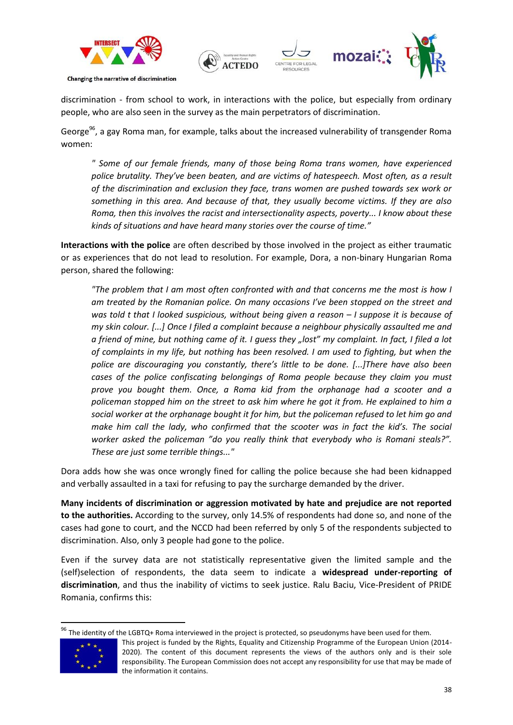![](_page_37_Picture_0.jpeg)

![](_page_37_Picture_1.jpeg)

discrimination - from school to work, in interactions with the police, but especially from ordinary people, who are also seen in the survey as the main perpetrators of discrimination.

George<sup>96</sup>, a gay Roma man, for example, talks about the increased vulnerability of transgender Roma women:

*" Some of our female friends, many of those being Roma trans women, have experienced police brutality. They've been beaten, and are victims of hatespeech. Most often, as a result of the discrimination and exclusion they face, trans women are pushed towards sex work or something in this area. And because of that, they usually become victims. If they are also Roma, then this involves the racist and intersectionality aspects, poverty... I know about these kinds of situations and have heard many stories over the course of time."*

**Interactions with the police** are often described by those involved in the project as either traumatic or as experiences that do not lead to resolution. For example, Dora, a non-binary Hungarian Roma person, shared the following:

*"The problem that I am most often confronted with and that concerns me the most is how I am treated by the Romanian police. On many occasions I've been stopped on the street and was told t that I looked suspicious, without being given a reason – I suppose it is because of my skin colour. [...] Once I filed a complaint because a neighbour physically assaulted me and a friend of mine, but nothing came of it. I guess they "lost" my complaint. In fact, I filed a lot of complaints in my life, but nothing has been resolved. I am used to fighting, but when the police are discouraging you constantly, there's little to be done. [...]There have also been cases of the police confiscating belongings of Roma people because they claim you must prove you bought them. Once, a Roma kid from the orphanage had a scooter and a policeman stopped him on the street to ask him where he got it from. He explained to him a social worker at the orphanage bought it for him, but the policeman refused to let him go and make him call the lady, who confirmed that the scooter was in fact the kid's. The social worker asked the policeman "do you really think that everybody who is Romani steals?". These are just some terrible things..."*

Dora adds how she was once wrongly fined for calling the police because she had been kidnapped and verbally assaulted in a taxi for refusing to pay the surcharge demanded by the driver.

**Many incidents of discrimination or aggression motivated by hate and prejudice are not reported to the authorities.** According to the survey, only 14.5% of respondents had done so, and none of the cases had gone to court, and the NCCD had been referred by only 5 of the respondents subjected to discrimination. Also, only 3 people had gone to the police.

Even if the survey data are not statistically representative given the limited sample and the (self)selection of respondents, the data seem to indicate a **widespread under-reporting of discrimination**, and thus the inability of victims to seek justice. Ralu Baciu, Vice-President of PRIDE Romania, confirms this:

<sup>&</sup>lt;sup>96</sup> The identity of the LGBTQ+ Roma interviewed in the project is protected, so pseudonyms have been used for them.

![](_page_37_Picture_11.jpeg)

This project is funded by the Rights, Equality and Citizenship Programme of the European Union (2014- 2020). The content of this document represents the views of the authors only and is their sole responsibility. The European Commission does not accept any responsibility for use that may be made of the information it contains.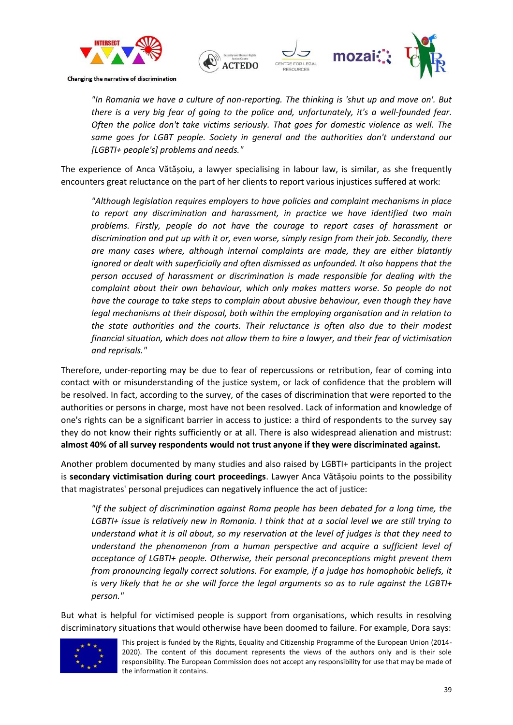![](_page_38_Picture_0.jpeg)

![](_page_38_Picture_1.jpeg)

*"In Romania we have a culture of non-reporting. The thinking is 'shut up and move on'. But there is a very big fear of going to the police and, unfortunately, it's a well-founded fear. Often the police don't take victims seriously. That goes for domestic violence as well. The same goes for LGBT people. Society in general and the authorities don't understand our [LGBTI+ people's] problems and needs."*

The experience of Anca Vătășoiu, a lawyer specialising in labour law, is similar, as she frequently encounters great reluctance on the part of her clients to report various injustices suffered at work:

*"Although legislation requires employers to have policies and complaint mechanisms in place to report any discrimination and harassment, in practice we have identified two main problems. Firstly, people do not have the courage to report cases of harassment or discrimination and put up with it or, even worse, simply resign from their job. Secondly, there are many cases where, although internal complaints are made, they are either blatantly ignored or dealt with superficially and often dismissed as unfounded. It also happens that the person accused of harassment or discrimination is made responsible for dealing with the complaint about their own behaviour, which only makes matters worse. So people do not have the courage to take steps to complain about abusive behaviour, even though they have legal mechanisms at their disposal, both within the employing organisation and in relation to the state authorities and the courts. Their reluctance is often also due to their modest financial situation, which does not allow them to hire a lawyer, and their fear of victimisation and reprisals."*

Therefore, under-reporting may be due to fear of repercussions or retribution, fear of coming into contact with or misunderstanding of the justice system, or lack of confidence that the problem will be resolved. In fact, according to the survey, of the cases of discrimination that were reported to the authorities or persons in charge, most have not been resolved. Lack of information and knowledge of one's rights can be a significant barrier in access to justice: a third of respondents to the survey say they do not know their rights sufficiently or at all. There is also widespread alienation and mistrust: **almost 40% of all survey respondents would not trust anyone if they were discriminated against.**

Another problem documented by many studies and also raised by LGBTI+ participants in the project is **secondary victimisation during court proceedings**. Lawyer Anca Vătășoiu points to the possibility that magistrates' personal prejudices can negatively influence the act of justice:

*"If the subject of discrimination against Roma people has been debated for a long time, the LGBTI+ issue is relatively new in Romania. I think that at a social level we are still trying to understand what it is all about, so my reservation at the level of judges is that they need to understand the phenomenon from a human perspective and acquire a sufficient level of acceptance of LGBTI+ people. Otherwise, their personal preconceptions might prevent them from pronouncing legally correct solutions. For example, if a judge has homophobic beliefs, it is very likely that he or she will force the legal arguments so as to rule against the LGBTI+ person."*

But what is helpful for victimised people is support from organisations, which results in resolving discriminatory situations that would otherwise have been doomed to failure. For example, Dora says:

![](_page_38_Picture_9.jpeg)

This project is funded by the Rights, Equality and Citizenship Programme of the European Union (2014- 2020). The content of this document represents the views of the authors only and is their sole responsibility. The European Commission does not accept any responsibility for use that may be made of the information it contains.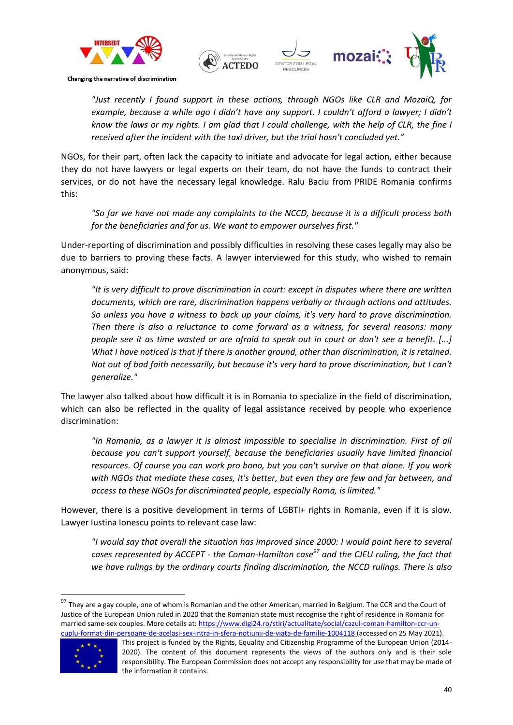![](_page_39_Picture_0.jpeg)

![](_page_39_Picture_1.jpeg)

*"Just recently I found support in these actions, through NGOs like CLR and MozaiQ, for*  example, because a while ago I didn't have any support. I couldn't afford a lawyer; I didn't *know the laws or my rights. I am glad that I could challenge, with the help of CLR, the fine I received after the incident with the taxi driver, but the trial hasn't concluded yet."*

NGOs, for their part, often lack the capacity to initiate and advocate for legal action, either because they do not have lawyers or legal experts on their team, do not have the funds to contract their services, or do not have the necessary legal knowledge. Ralu Baciu from PRIDE Romania confirms this:

*"So far we have not made any complaints to the NCCD, because it is a difficult process both for the beneficiaries and for us. We want to empower ourselves first."*

Under-reporting of discrimination and possibly difficulties in resolving these cases legally may also be due to barriers to proving these facts. A lawyer interviewed for this study, who wished to remain anonymous, said:

*"It is very difficult to prove discrimination in court: except in disputes where there are written documents, which are rare, discrimination happens verbally or through actions and attitudes. So unless you have a witness to back up your claims, it's very hard to prove discrimination. Then there is also a reluctance to come forward as a witness, for several reasons: many people see it as time wasted or are afraid to speak out in court or don't see a benefit. [...] What I have noticed is that if there is another ground, other than discrimination, it is retained. Not out of bad faith necessarily, but because it's very hard to prove discrimination, but I can't generalize."*

The lawyer also talked about how difficult it is in Romania to specialize in the field of discrimination, which can also be reflected in the quality of legal assistance received by people who experience discrimination:

*"In Romania, as a lawyer it is almost impossible to specialise in discrimination. First of all because you can't support yourself, because the beneficiaries usually have limited financial resources. Of course you can work pro bono, but you can't survive on that alone. If you work with NGOs that mediate these cases, it's better, but even they are few and far between, and access to these NGOs for discriminated people, especially Roma, is limited."*

However, there is a positive development in terms of LGBTI+ rights in Romania, even if it is slow. Lawyer Iustina Ionescu points to relevant case law:

*"I would say that overall the situation has improved since 2000: I would point here to several cases represented by ACCEPT - the Coman-Hamilton case<sup>97</sup> and the CJEU ruling, the fact that we have rulings by the ordinary courts finding discrimination, the NCCD rulings. There is also* 

<sup>97</sup> They are a gay couple, one of whom is Romanian and the other American, married in Belgium. The CCR and the Court of Justice of the European Union ruled in 2020 that the Romanian state must recognise the right of residence in Romania for married same-sex couples. More details at[: https://www.digi24.ro/stiri/actualitate/social/cazul-coman-hamilton-ccr-un](https://www.digi24.ro/stiri/actualitate/social/cazul-coman-hamilton-ccr-un-cuplu-format-din-persoane-de-acelasi-sex-intra-in-sfera-notiunii-de-viata-de-familie-1004118)[cuplu-format-din-persoane-de-acelasi-sex-intra-in-sfera-notiunii-de-viata-de-familie-1004118](https://www.digi24.ro/stiri/actualitate/social/cazul-coman-hamilton-ccr-un-cuplu-format-din-persoane-de-acelasi-sex-intra-in-sfera-notiunii-de-viata-de-familie-1004118) (accessed on 25 May 2021).

![](_page_39_Picture_12.jpeg)

This project is funded by the Rights, Equality and Citizenship Programme of the European Union (2014- 2020). The content of this document represents the views of the authors only and is their sole responsibility. The European Commission does not accept any responsibility for use that may be made of the information it contains.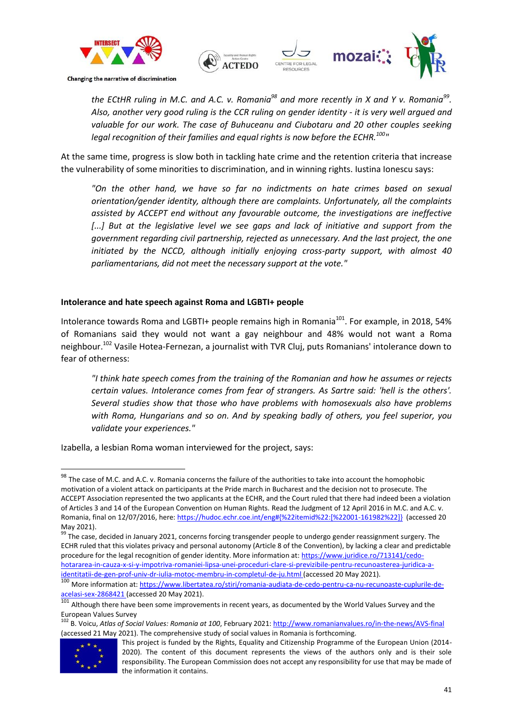![](_page_40_Picture_0.jpeg)

![](_page_40_Picture_1.jpeg)

*the ECtHR ruling in M.C. and A.C. v. Romania<sup>98</sup> and more recently in X and Y v. Romania<sup>99</sup> . Also, another very good ruling is the CCR ruling on gender identity - it is very well argued and valuable for our work. The case of Buhuceanu and Ciubotaru and 20 other couples seeking legal recognition of their families and equal rights is now before the ECHR.<sup>100</sup>"*

At the same time, progress is slow both in tackling hate crime and the retention criteria that increase the vulnerability of some minorities to discrimination, and in winning rights. Iustina Ionescu says:

*"On the other hand, we have so far no indictments on hate crimes based on sexual orientation/gender identity, although there are complaints. Unfortunately, all the complaints assisted by ACCEPT end without any favourable outcome, the investigations are ineffective*  [...] But at the legislative level we see gaps and lack of initiative and support from the *government regarding civil partnership, rejected as unnecessary. And the last project, the one initiated by the NCCD, although initially enjoying cross-party support, with almost 40 parliamentarians, did not meet the necessary support at the vote."*

### **Intolerance and hate speech against Roma and LGBTI+ people**

Intolerance towards Roma and LGBTI+ people remains high in Romania<sup>101</sup>. For example, in 2018, 54% of Romanians said they would not want a gay neighbour and 48% would not want a Roma neighbour.<sup>102</sup> Vasile Hotea-Fernezan, a journalist with TVR Cluj, puts Romanians' intolerance down to fear of otherness:

*"I think hate speech comes from the training of the Romanian and how he assumes or rejects certain values. Intolerance comes from fear of strangers. As Sartre said: 'hell is the others'. Several studies show that those who have problems with homosexuals also have problems with Roma, Hungarians and so on. And by speaking badly of others, you feel superior, you validate your experiences."*

Izabella, a lesbian Roma woman interviewed for the project, says:

<sup>102</sup> B. Voicu, *Atlas of Social Values: Romania at 100*, February 2021[: http://www.romanianvalues.ro/in-the-news/AVS-final](http://www.romanianvalues.ro/in-the-news/AVS-final) (accessed 21 May 2021). The comprehensive study of social values in Romania is forthcoming.

![](_page_40_Picture_14.jpeg)

1

 $^{98}$  The case of M.C. and A.C. v. Romania concerns the failure of the authorities to take into account the homophobic motivation of a violent attack on participants at the Pride march in Bucharest and the decision not to prosecute. The ACCEPT Association represented the two applicants at the ECHR, and the Court ruled that there had indeed been a violation of Articles 3 and 14 of the European Convention on Human Rights. Read the Judgment of 12 April 2016 in M.C. and A.C. v. Romania, final on 12/07/2016, here: [https://hudoc.echr.coe.int/eng#{%22itemid%22:\[%22001-161982%22\]}](https://hudoc.echr.coe.int/eng#{%22itemid%22:[%22001-161982%22]}) (accessed 20 May 2021).

<sup>99</sup> The case, decided in January 2021, concerns forcing transgender people to undergo gender reassignment surgery. The ECHR ruled that this violates privacy and personal autonomy (Article 8 of the Convention), by lacking a clear and predictable procedure for the legal recognition of gender identity. More information at: [https://www.juridice.ro/713141/cedo](https://www.juridice.ro/713141/cedo-hotararea-in-cauza-x-si-y-impotriva-romaniei-lipsa-unei-proceduri-clare-si-previzibile-pentru-recunoasterea-juridica-a-identitatii-de-gen-prof-univ-dr-iulia-motoc-membru-in-completul-de-ju.html)[hotararea-in-cauza-x-si-y-impotriva-romaniei-lipsa-unei-proceduri-clare-si-previzibile-pentru-recunoasterea-juridica-a](https://www.juridice.ro/713141/cedo-hotararea-in-cauza-x-si-y-impotriva-romaniei-lipsa-unei-proceduri-clare-si-previzibile-pentru-recunoasterea-juridica-a-identitatii-de-gen-prof-univ-dr-iulia-motoc-membru-in-completul-de-ju.html)[identitatii-de-gen-prof-univ-dr-iulia-motoc-membru-in-completul-de-ju.html](https://www.juridice.ro/713141/cedo-hotararea-in-cauza-x-si-y-impotriva-romaniei-lipsa-unei-proceduri-clare-si-previzibile-pentru-recunoasterea-juridica-a-identitatii-de-gen-prof-univ-dr-iulia-motoc-membru-in-completul-de-ju.html) (accessed 20 May 2021).

<sup>100</sup> More information at[: https://www.libertatea.ro/stiri/romania-audiata-de-cedo-pentru-ca-nu-recunoaste-cuplurile-de](https://www.libertatea.ro/stiri/romania-audiata-de-cedo-pentru-ca-nu-recunoaste-cuplurile-de-acelasi-sex-2868421)[acelasi-sex-2868421](https://www.libertatea.ro/stiri/romania-audiata-de-cedo-pentru-ca-nu-recunoaste-cuplurile-de-acelasi-sex-2868421) (accessed 20 May 2021).

<sup>101</sup> Although there have been some improvements in recent years, as documented by the World Values Survey and the European Values Survey

This project is funded by the Rights, Equality and Citizenship Programme of the European Union (2014- 2020). The content of this document represents the views of the authors only and is their sole responsibility. The European Commission does not accept any responsibility for use that may be made of the information it contains.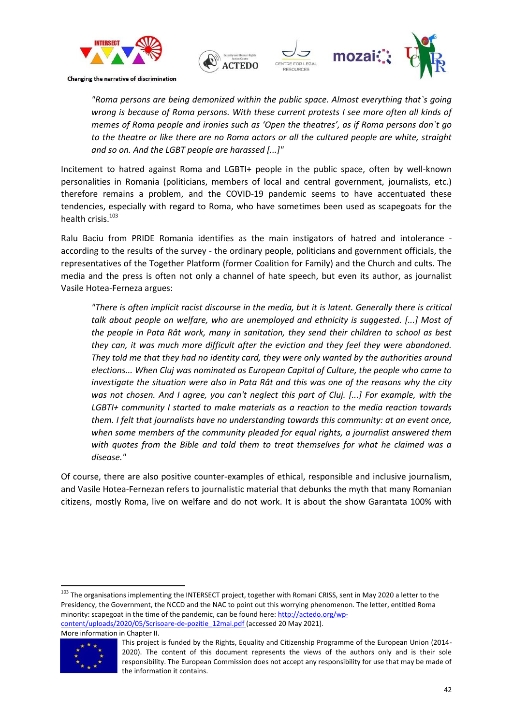![](_page_41_Picture_0.jpeg)

![](_page_41_Picture_1.jpeg)

*"Roma persons are being demonized within the public space. Almost everything that`s going wrong is because of Roma persons. With these current protests I see more often all kinds of memes of Roma people and ironies such as 'Open the theatres', as if Roma persons don`t go to the theatre or like there are no Roma actors or all the cultured people are white, straight and so on. And the LGBT people are harassed [...]"*

Incitement to hatred against Roma and LGBTI+ people in the public space, often by well-known personalities in Romania (politicians, members of local and central government, journalists, etc.) therefore remains a problem, and the COVID-19 pandemic seems to have accentuated these tendencies, especially with regard to Roma, who have sometimes been used as scapegoats for the health crisis.<sup>103</sup>

Ralu Baciu from PRIDE Romania identifies as the main instigators of hatred and intolerance according to the results of the survey - the ordinary people, politicians and government officials, the representatives of the Together Platform (former Coalition for Family) and the Church and cults. The media and the press is often not only a channel of hate speech, but even its author, as journalist Vasile Hotea-Ferneza argues:

*"There is often implicit racist discourse in the media, but it is latent. Generally there is critical talk about people on welfare, who are unemployed and ethnicity is suggested. [...] Most of the people in Pata Rât work, many in sanitation, they send their children to school as best they can, it was much more difficult after the eviction and they feel they were abandoned. They told me that they had no identity card, they were only wanted by the authorities around elections... When Cluj was nominated as European Capital of Culture, the people who came to investigate the situation were also in Pata Rât and this was one of the reasons why the city was not chosen. And I agree, you can't neglect this part of Cluj. [...] For example, with the LGBTI+ community I started to make materials as a reaction to the media reaction towards them. I felt that journalists have no understanding towards this community: at an event once, when some members of the community pleaded for equal rights, a journalist answered them with quotes from the Bible and told them to treat themselves for what he claimed was a disease."*

Of course, there are also positive counter-examples of ethical, responsible and inclusive journalism, and Vasile Hotea-Fernezan refers to journalistic material that debunks the myth that many Romanian citizens, mostly Roma, live on welfare and do not work. It is about the show Garantata 100% with

<sup>103</sup> The organisations implementing the INTERSECT project, together with Romani CRISS, sent in May 2020 a letter to the Presidency, the Government, the NCCD and the NAC to point out this worrying phenomenon. The letter, entitled Roma minority: scapegoat in the time of the pandemic, can be found here[: http://actedo.org/wp](http://actedo.org/wp-content/uploads/2020/05/Scrisoare-de-pozitie_12mai.pdf)[content/uploads/2020/05/Scrisoare-de-pozitie\\_12mai.pdf](http://actedo.org/wp-content/uploads/2020/05/Scrisoare-de-pozitie_12mai.pdf) (accessed 20 May 2021).

More information in Chapter II.

![](_page_41_Picture_9.jpeg)

This project is funded by the Rights, Equality and Citizenship Programme of the European Union (2014- 2020). The content of this document represents the views of the authors only and is their sole responsibility. The European Commission does not accept any responsibility for use that may be made of the information it contains.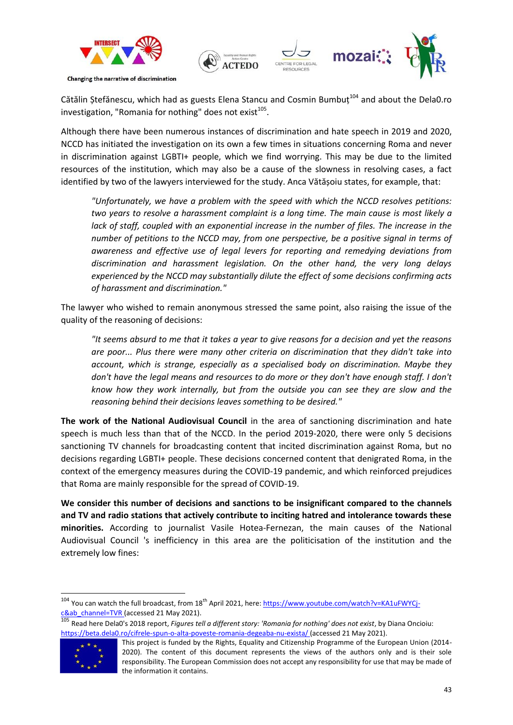![](_page_42_Picture_0.jpeg)

Cătălin Stefănescu, which had as guests Elena Stancu and Cosmin Bumbut $^{104}$  and about the Dela0.ro investigation, "Romania for nothing" does not exist $^{105}$ .

Although there have been numerous instances of discrimination and hate speech in 2019 and 2020, NCCD has initiated the investigation on its own a few times in situations concerning Roma and never in discrimination against LGBTI+ people, which we find worrying. This may be due to the limited resources of the institution, which may also be a cause of the slowness in resolving cases, a fact identified by two of the lawyers interviewed for the study. Anca Vătășoiu states, for example, that:

*"Unfortunately, we have a problem with the speed with which the NCCD resolves petitions: two years to resolve a harassment complaint is a long time. The main cause is most likely a*  lack of staff, coupled with an exponential increase in the number of files. The increase in the *number of petitions to the NCCD may, from one perspective, be a positive signal in terms of awareness and effective use of legal levers for reporting and remedying deviations from discrimination and harassment legislation. On the other hand, the very long delays experienced by the NCCD may substantially dilute the effect of some decisions confirming acts of harassment and discrimination."*

The lawyer who wished to remain anonymous stressed the same point, also raising the issue of the quality of the reasoning of decisions:

*"It seems absurd to me that it takes a year to give reasons for a decision and yet the reasons are poor... Plus there were many other criteria on discrimination that they didn't take into account, which is strange, especially as a specialised body on discrimination. Maybe they don't have the legal means and resources to do more or they don't have enough staff. I don't know how they work internally, but from the outside you can see they are slow and the reasoning behind their decisions leaves something to be desired."*

**The work of the National Audiovisual Council** in the area of sanctioning discrimination and hate speech is much less than that of the NCCD. In the period 2019-2020, there were only 5 decisions sanctioning TV channels for broadcasting content that incited discrimination against Roma, but no decisions regarding LGBTI+ people. These decisions concerned content that denigrated Roma, in the context of the emergency measures during the COVID-19 pandemic, and which reinforced prejudices that Roma are mainly responsible for the spread of COVID-19.

**We consider this number of decisions and sanctions to be insignificant compared to the channels and TV and radio stations that actively contribute to inciting hatred and intolerance towards these minorities.** According to journalist Vasile Hotea-Fernezan, the main causes of the National Audiovisual Council 's inefficiency in this area are the politicisation of the institution and the extremely low fines:

<sup>105</sup> Read here Dela0's 2018 report, *Figures tell a different story: 'Romania for nothing' does not exist*, by Diana Oncioiu: <https://beta.dela0.ro/cifrele-spun-o-alta-poveste-romania-degeaba-nu-exista/> (accessed 21 May 2021).

![](_page_42_Picture_10.jpeg)

1

<sup>&</sup>lt;sup>104</sup> You can watch the full broadcast, from 18<sup>th</sup> April 2021, here: [https://www.youtube.com/watch?v=KA1uFWYCj-](https://www.youtube.com/watch?v=KA1uFWYCj-c&ab_channel=TVR) $\frac{\text{c&ab}$  channel=TVR (accessed 21 May 2021).

This project is funded by the Rights, Equality and Citizenship Programme of the European Union (2014- 2020). The content of this document represents the views of the authors only and is their sole responsibility. The European Commission does not accept any responsibility for use that may be made of the information it contains.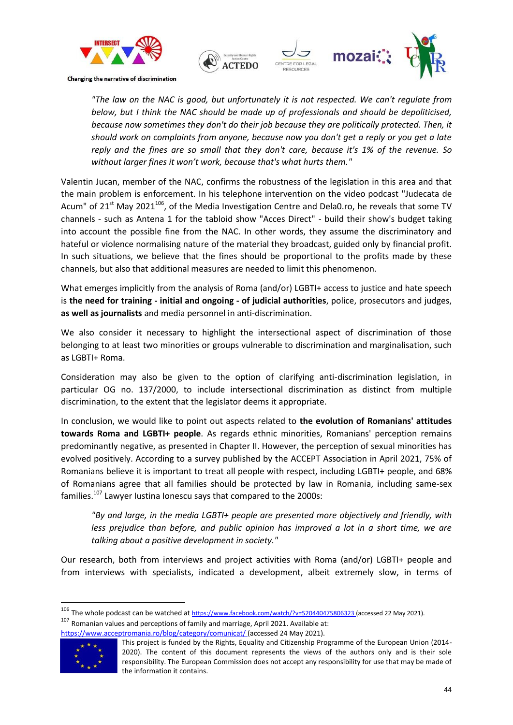![](_page_43_Picture_0.jpeg)

![](_page_43_Picture_1.jpeg)

*"The law on the NAC is good, but unfortunately it is not respected. We can't regulate from below, but I think the NAC should be made up of professionals and should be depoliticised, because now sometimes they don't do their job because they are politically protected. Then, it should work on complaints from anyone, because now you don't get a reply or you get a late reply and the fines are so small that they don't care, because it's 1% of the revenue. So without larger fines it won't work, because that's what hurts them."*

Valentin Jucan, member of the NAC, confirms the robustness of the legislation in this area and that the main problem is enforcement. In his telephone intervention on the video podcast "Judecata de Acum" of 21<sup>st</sup> May 2021<sup>106</sup>, of the Media Investigation Centre and Dela0.ro, he reveals that some TV channels - such as Antena 1 for the tabloid show "Acces Direct" - build their show's budget taking into account the possible fine from the NAC. In other words, they assume the discriminatory and hateful or violence normalising nature of the material they broadcast, guided only by financial profit. In such situations, we believe that the fines should be proportional to the profits made by these channels, but also that additional measures are needed to limit this phenomenon.

What emerges implicitly from the analysis of Roma (and/or) LGBTI+ access to justice and hate speech is **the need for training - initial and ongoing - of judicial authorities**, police, prosecutors and judges, **as well as journalists** and media personnel in anti-discrimination.

We also consider it necessary to highlight the intersectional aspect of discrimination of those belonging to at least two minorities or groups vulnerable to discrimination and marginalisation, such as LGBTI+ Roma.

Consideration may also be given to the option of clarifying anti-discrimination legislation, in particular OG no. 137/2000, to include intersectional discrimination as distinct from multiple discrimination, to the extent that the legislator deems it appropriate.

In conclusion, we would like to point out aspects related to **the evolution of Romanians' attitudes towards Roma and LGBTI+ people**. As regards ethnic minorities, Romanians' perception remains predominantly negative, as presented in Chapter II. However, the perception of sexual minorities has evolved positively. According to a survey published by the ACCEPT Association in April 2021, 75% of Romanians believe it is important to treat all people with respect, including LGBTI+ people, and 68% of Romanians agree that all families should be protected by law in Romania, including same-sex families.<sup>107</sup> Lawyer Iustina Ionescu says that compared to the 2000s:

*"By and large, in the media LGBTI+ people are presented more objectively and friendly, with less prejudice than before, and public opinion has improved a lot in a short time, we are talking about a positive development in society."*

Our research, both from interviews and project activities with Roma (and/or) LGBTI+ people and from interviews with specialists, indicated a development, albeit extremely slow, in terms of

<https://www.acceptromania.ro/blog/category/comunicat/> (accessed 24 May 2021).

![](_page_43_Picture_12.jpeg)

<sup>&</sup>lt;sup>106</sup> The whole podcast can be watched at <https://www.facebook.com/watch/?v=520440475806323> (accessed 22 May 2021).  $107$  Romanian values and perceptions of family and marriage, April 2021. Available at:

This project is funded by the Rights, Equality and Citizenship Programme of the European Union (2014- 2020). The content of this document represents the views of the authors only and is their sole responsibility. The European Commission does not accept any responsibility for use that may be made of the information it contains.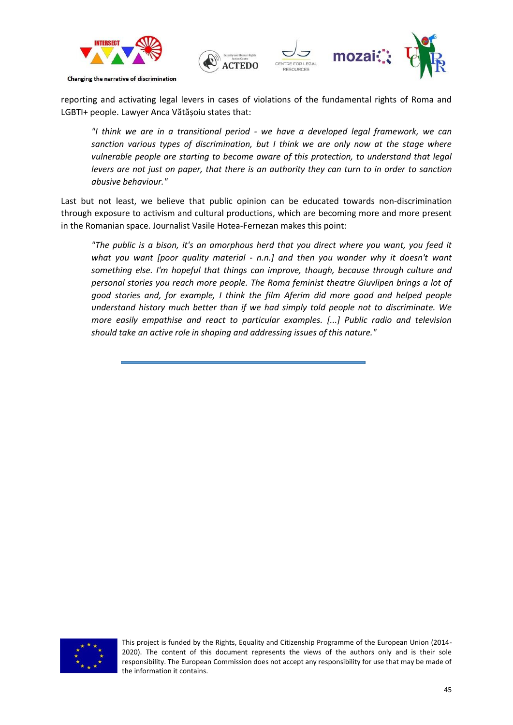![](_page_44_Picture_0.jpeg)

reporting and activating legal levers in cases of violations of the fundamental rights of Roma and LGBTI+ people. Lawyer Anca Vătășoiu states that:

*"I think we are in a transitional period - we have a developed legal framework, we can sanction various types of discrimination, but I think we are only now at the stage where vulnerable people are starting to become aware of this protection, to understand that legal levers are not just on paper, that there is an authority they can turn to in order to sanction abusive behaviour."*

Last but not least, we believe that public opinion can be educated towards non-discrimination through exposure to activism and cultural productions, which are becoming more and more present in the Romanian space. Journalist Vasile Hotea-Fernezan makes this point:

*"The public is a bison, it's an amorphous herd that you direct where you want, you feed it what you want [poor quality material - n.n.] and then you wonder why it doesn't want something else. I'm hopeful that things can improve, though, because through culture and personal stories you reach more people. The Roma feminist theatre Giuvlipen brings a lot of good stories and, for example, I think the film Aferim did more good and helped people understand history much better than if we had simply told people not to discriminate. We more easily empathise and react to particular examples. [...] Public radio and television should take an active role in shaping and addressing issues of this nature."*

![](_page_44_Picture_5.jpeg)

This project is funded by the Rights, Equality and Citizenship Programme of the European Union (2014- 2020). The content of this document represents the views of the authors only and is their sole responsibility. The European Commission does not accept any responsibility for use that may be made of the information it contains.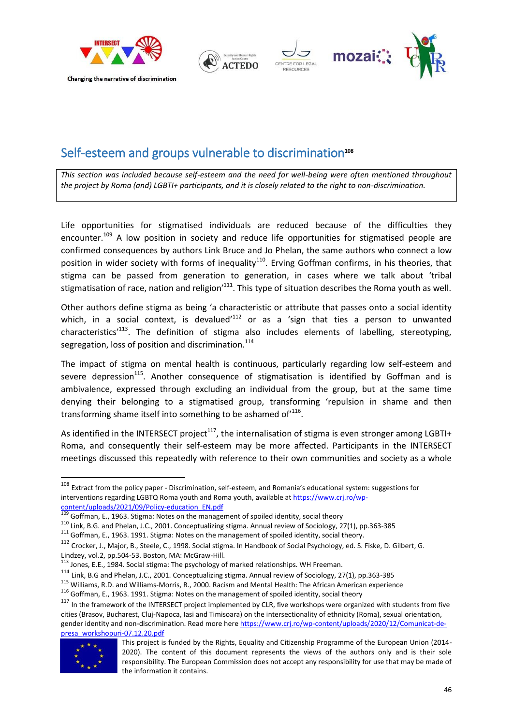![](_page_45_Picture_0.jpeg)

### <span id="page-45-0"></span>Self-esteem and groups vulnerable to discrimination<sup>108</sup>

*This section was included because self-esteem and the need for well-being were often mentioned throughout the project by Roma (and) LGBTI+ participants, and it is closely related to the right to non-discrimination.*

Life opportunities for stigmatised individuals are reduced because of the difficulties they encounter.<sup>109</sup> A low position in society and reduce life opportunities for stigmatised people are confirmed consequences by authors Link Bruce and Jo Phelan, the same authors who connect a low position in wider society with forms of inequality<sup>110</sup>. Erving Goffman confirms, in his theories, that stigma can be passed from generation to generation, in cases where we talk about 'tribal stigmatisation of race, nation and religion<sup> $111$ </sup>. This type of situation describes the Roma youth as well.

Other authors define stigma as being 'a characteristic or attribute that passes onto a social identity which, in a social context, is devalued<sup> $112$ </sup> or as a 'sign that ties a person to unwanted characteristics<sup> $113$ </sup>. The definition of stigma also includes elements of labelling, stereotyping, segregation, loss of position and discrimination.<sup>114</sup>

The impact of stigma on mental health is continuous, particularly regarding low self-esteem and severe depression<sup>115</sup>. Another consequence of stigmatisation is identified by Goffman and is ambivalence, expressed through excluding an individual from the group, but at the same time denying their belonging to a stigmatised group, transforming 'repulsion in shame and then transforming shame itself into something to be ashamed of  $116$ .

As identified in the INTERSECT project<sup>117</sup>, the internalisation of stigma is even stronger among LGBTI+ Roma, and consequently their self-esteem may be more affected. Participants in the INTERSECT meetings discussed this repeatedly with reference to their own communities and society as a whole

<sup>115</sup> Williams, R.D. and Williams-Morris, R., 2000. Racism and Mental Health: The African American experience

<sup>&</sup>lt;sup>117</sup> In the framework of the INTERSECT project implemented by CLR, five workshops were organized with students from five cities (Brasov, Bucharest, Cluj-Napoca, Iasi and Timisoara) on the intersectionality of ethnicity (Roma), sexual orientation, gender identity and non-discrimination. Read more here [https://www.crj.ro/wp-content/uploads/2020/12/Comunicat-de](https://www.crj.ro/wp-content/uploads/2020/12/Comunicat-de-presa_workshopuri-07.12.20.pdf)[presa\\_workshopuri-07.12.20.pdf](https://www.crj.ro/wp-content/uploads/2020/12/Comunicat-de-presa_workshopuri-07.12.20.pdf)

![](_page_45_Picture_17.jpeg)

1

<sup>&</sup>lt;sup>108</sup> Extract from the policy paper - Discrimination, self-esteem, and Romania's educational system: suggestions for interventions regarding LGBTQ Roma youth and Roma youth, available a[t https://www.crj.ro/wp](https://www.crj.ro/wp-content/uploads/2021/09/Policy-education_EN.pdf)[content/uploads/2021/09/Policy-education\\_EN.pdf](https://www.crj.ro/wp-content/uploads/2021/09/Policy-education_EN.pdf)

<sup>&</sup>lt;sup>109</sup> Goffman, E., 1963. Stigma: Notes on the management of spoiled identity, social theory

<sup>110</sup> Link, B.G. and Phelan, J.C., 2001. Conceptualizing stigma. Annual review of Sociology, 27(1), pp.363-385

<sup>&</sup>lt;sup>111</sup> Goffman, E., 1963. 1991. Stigma: Notes on the management of spoiled identity, social theory.

<sup>112</sup> Crocker, J., Major, B., Steele, C., 1998. Social stigma. In Handbook of Social Psychology, ed. S. Fiske, D. Gilbert, G. Lindzey, vol.2, pp.504-53. Boston, MA: McGraw-Hill.

<sup>113</sup> Jones, E.E., 1984. Social stigma: The psychology of marked relationships. WH Freeman.

<sup>114</sup> Link, B.G and Phelan, J.C., 2001. Conceptualizing stigma. Annual review of Sociology, 27(1), pp.363-385

<sup>116</sup> Goffman, E., 1963. 1991. Stigma: Notes on the management of spoiled identity, social theory

This project is funded by the Rights, Equality and Citizenship Programme of the European Union (2014- 2020). The content of this document represents the views of the authors only and is their sole responsibility. The European Commission does not accept any responsibility for use that may be made of the information it contains.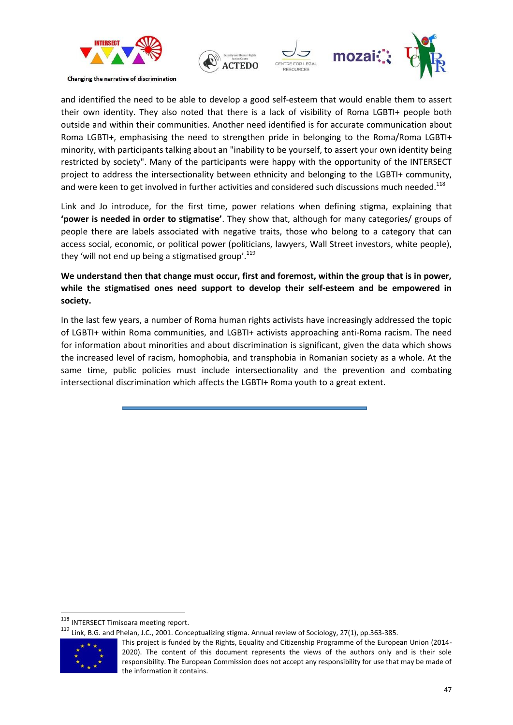![](_page_46_Picture_0.jpeg)

![](_page_46_Picture_1.jpeg)

and identified the need to be able to develop a good self-esteem that would enable them to assert their own identity. They also noted that there is a lack of visibility of Roma LGBTI+ people both outside and within their communities. Another need identified is for accurate communication about Roma LGBTI+, emphasising the need to strengthen pride in belonging to the Roma/Roma LGBTI+ minority, with participants talking about an "inability to be yourself, to assert your own identity being restricted by society". Many of the participants were happy with the opportunity of the INTERSECT project to address the intersectionality between ethnicity and belonging to the LGBTI+ community, and were keen to get involved in further activities and considered such discussions much needed.<sup>118</sup>

Link and Jo introduce, for the first time, power relations when defining stigma, explaining that **'power is needed in order to stigmatise'**. They show that, although for many categories/ groups of people there are labels associated with negative traits, those who belong to a category that can access social, economic, or political power (politicians, lawyers, Wall Street investors, white people), they 'will not end up being a stigmatised group'.<sup>119</sup>

**We understand then that change must occur, first and foremost, within the group that is in power, while the stigmatised ones need support to develop their self-esteem and be empowered in society.**

In the last few years, a number of Roma human rights activists have increasingly addressed the topic of LGBTI+ within Roma communities, and LGBTI+ activists approaching anti-Roma racism. The need for information about minorities and about discrimination is significant, given the data which shows the increased level of racism, homophobia, and transphobia in Romanian society as a whole. At the same time, public policies must include intersectionality and the prevention and combating intersectional discrimination which affects the LGBTI+ Roma youth to a great extent.

<sup>119</sup> Link, B.G. and Phelan, J.C., 2001. Conceptualizing stigma. Annual review of Sociology, 27(1), pp.363-385.

![](_page_46_Picture_8.jpeg)

<sup>&</sup>lt;sup>118</sup> INTERSECT Timisoara meeting report.

This project is funded by the Rights, Equality and Citizenship Programme of the European Union (2014- 2020). The content of this document represents the views of the authors only and is their sole responsibility. The European Commission does not accept any responsibility for use that may be made of the information it contains.